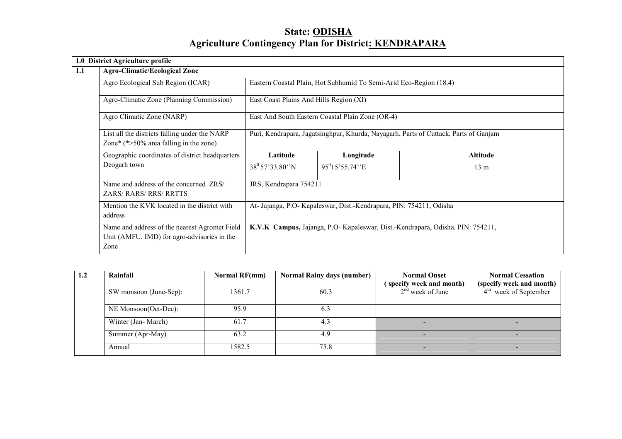# State: ODISHAAgriculture Contingency Plan for District: KENDRAPARA

|     | 1.0 District Agriculture profile                                                                     |                                                                                      |                                                                    |                                                                                |  |  |
|-----|------------------------------------------------------------------------------------------------------|--------------------------------------------------------------------------------------|--------------------------------------------------------------------|--------------------------------------------------------------------------------|--|--|
| 1.1 | <b>Agro-Climatic/Ecological Zone</b>                                                                 |                                                                                      |                                                                    |                                                                                |  |  |
|     | Agro Ecological Sub Region (ICAR)                                                                    |                                                                                      | Eastern Coastal Plain, Hot Subhumid To Semi-Arid Eco-Region (18.4) |                                                                                |  |  |
|     | Agro-Climatic Zone (Planning Commission)                                                             | East Coast Plains And Hills Region (XI)                                              |                                                                    |                                                                                |  |  |
|     | Agro Climatic Zone (NARP)                                                                            |                                                                                      | East And South Eastern Coastal Plain Zone (OR-4)                   |                                                                                |  |  |
|     | List all the districts falling under the NARP<br>Zone* $(*>50\%$ area falling in the zone)           | Puri, Kendrapara, Jagatsinghpur, Khurda, Nayagarh, Parts of Cuttack, Parts of Ganjam |                                                                    |                                                                                |  |  |
|     | Geographic coordinates of district headquarters                                                      | Latitude                                                                             | Longitude                                                          | Altitude                                                                       |  |  |
|     | Deogarh town                                                                                         | $38^0$ 57'33.80"N                                                                    | $95^{0}15'55.74''E$                                                | 13 <sub>m</sub>                                                                |  |  |
|     | Name and address of the concerned ZRS/<br><b>ZARS/RARS/RRS/RRTTS</b>                                 | JRS, Kendrapara 754211                                                               |                                                                    |                                                                                |  |  |
|     | Mention the KVK located in the district with<br>address                                              | At- Jajanga, P.O- Kapaleswar, Dist.-Kendrapara, PIN: 754211, Odisha                  |                                                                    |                                                                                |  |  |
|     | Name and address of the nearest Agromet Field<br>Unit (AMFU, IMD) for agro-advisories in the<br>Zone |                                                                                      |                                                                    | K.V.K Campus, Jajanga, P.O- Kapaleswar, Dist.-Kendrapara, Odisha. PIN: 754211, |  |  |

| $1.2\,$ | Rainfall               | <b>Normal RF(mm)</b> | <b>Normal Rainy days (number)</b> | <b>Normal Onset</b>      | <b>Normal Cessation</b>  |
|---------|------------------------|----------------------|-----------------------------------|--------------------------|--------------------------|
|         |                        |                      |                                   | (specify week and month) | (specify week and month) |
|         | SW monsoon (June-Sep): | 1361.7               | 60.3                              | $2nd$ week of June       | $4th$ week of September  |
|         | NE Monsoon(Oct-Dec):   | 95.9                 | 6.3                               |                          |                          |
|         | Winter (Jan-March)     | 61.7                 | 4.3                               |                          |                          |
|         | Summer (Apr-May)       | 63.2                 | 4.9                               |                          |                          |
|         | Annual                 | 1582.5               | 75.8                              |                          |                          |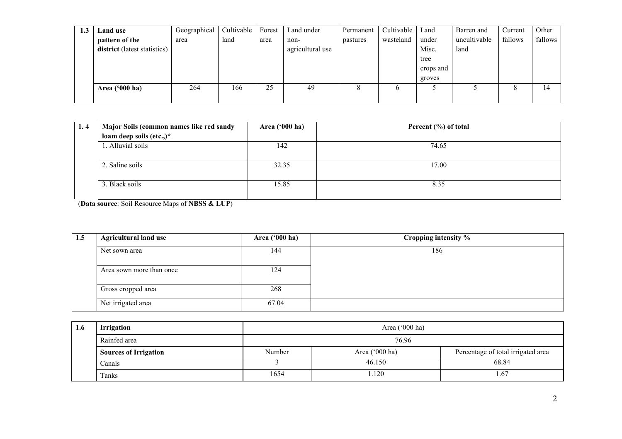| 1.3 | <b>Land use</b>              | Geographical | Cultivable | Forest | Land under       | Permanent | Cultivable   | Land      | Barren and   | Current       | Other   |
|-----|------------------------------|--------------|------------|--------|------------------|-----------|--------------|-----------|--------------|---------------|---------|
|     | pattern of the               | area         | land       | area   | non-             | pastures  | wasteland    | under     | uncultivable | fallows       | fallows |
|     | district (latest statistics) |              |            |        | agricultural use |           |              | Misc.     | land         |               |         |
|     |                              |              |            |        |                  |           |              | tree      |              |               |         |
|     |                              |              |            |        |                  |           |              | crops and |              |               |         |
|     |                              |              |            |        |                  |           |              | groves    |              |               |         |
|     | Area ('000 ha)               | 264          | 166        | 25     | 49               | 8         | <sub>0</sub> |           |              | $\Omega$<br>ð | 14      |
|     |                              |              |            |        |                  |           |              |           |              |               |         |

| 1.4 | Major Soils (common names like red sandy | Area $(900 \text{ ha})$ | Percent (%) of total |
|-----|------------------------------------------|-------------------------|----------------------|
|     | loam deep soils (etc.,)*                 |                         |                      |
|     | 1. Alluvial soils                        | 142                     | 74.65                |
|     |                                          |                         |                      |
|     | 2. Saline soils                          | 32.35                   | 17.00                |
|     |                                          |                         |                      |
|     | 3. Black soils                           | 15.85                   | 8.35                 |
|     |                                          |                         |                      |

(Data source: Soil Resource Maps of NBSS & LUP)

| 1.5 | <b>Agricultural land use</b> | Area ('000 ha) | Cropping intensity % |
|-----|------------------------------|----------------|----------------------|
|     | Net sown area                | 144            | 186                  |
|     | Area sown more than once     | 24             |                      |
|     | Gross cropped area           | 268            |                      |
|     | Net irrigated area           | 67.04          |                      |

| 1.6 | <b>Irrigation</b>            |        | Area ('000 ha) |                                    |
|-----|------------------------------|--------|----------------|------------------------------------|
|     | Rainfed area                 |        | 76.96          |                                    |
|     | <b>Sources of Irrigation</b> | Number | Area ('000 ha) | Percentage of total irrigated area |
|     | Canals                       |        | 46.150         | 68.84                              |
|     | Tanks                        | 1654   | 1.120          | . 67                               |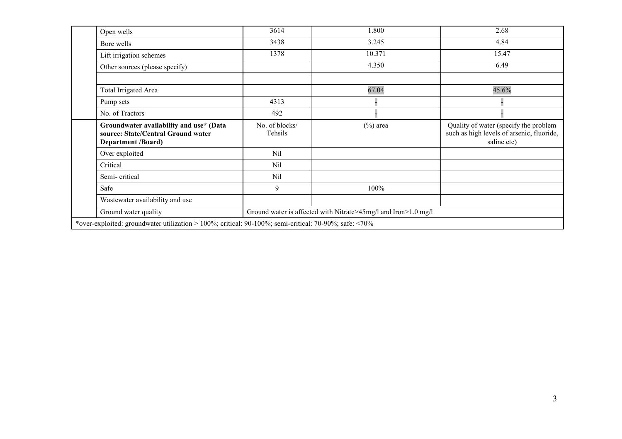| Open wells                                                                                                 | 3614                      | 1.800                                                          | 2.68                                                                                              |
|------------------------------------------------------------------------------------------------------------|---------------------------|----------------------------------------------------------------|---------------------------------------------------------------------------------------------------|
| Bore wells                                                                                                 | 3438                      | 3.245                                                          | 4.84                                                                                              |
| Lift irrigation schemes                                                                                    | 1378                      | 10.371                                                         | 15.47                                                                                             |
| Other sources (please specify)                                                                             |                           | 4.350                                                          | 6.49                                                                                              |
|                                                                                                            |                           |                                                                |                                                                                                   |
| <b>Total Irrigated Area</b>                                                                                |                           | 67.04                                                          | 45.6%                                                                                             |
| Pump sets                                                                                                  | 4313                      |                                                                |                                                                                                   |
| No. of Tractors                                                                                            | 492                       |                                                                |                                                                                                   |
| Groundwater availability and use* (Data<br>source: State/Central Ground water<br><b>Department /Board)</b> | No. of blocks/<br>Tehsils | $(\%)$ area                                                    | Quality of water (specify the problem<br>such as high levels of arsenic, fluoride,<br>saline etc) |
| Over exploited                                                                                             | Nil                       |                                                                |                                                                                                   |
| Critical                                                                                                   | Nil                       |                                                                |                                                                                                   |
| Semi-critical                                                                                              | Nil                       |                                                                |                                                                                                   |
| Safe                                                                                                       | 9                         | 100%                                                           |                                                                                                   |
| Wastewater availability and use                                                                            |                           |                                                                |                                                                                                   |
| Ground water quality                                                                                       |                           | Ground water is affected with Nitrate>45mg/l and Iron>1.0 mg/l |                                                                                                   |
| *over-exploited: groundwater utilization > 100%; critical: 90-100%; semi-critical: 70-90%; safe: <70%      |                           |                                                                |                                                                                                   |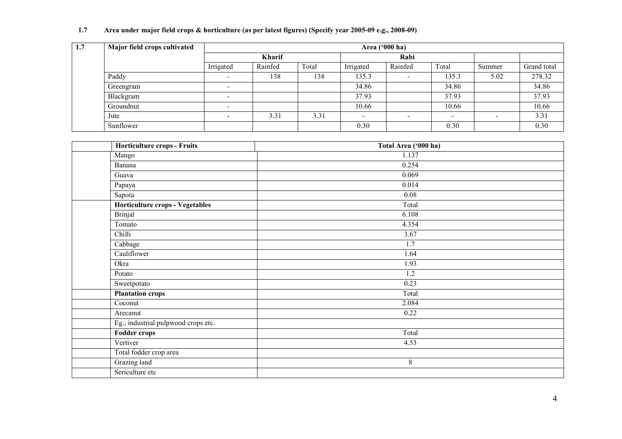### 1.7 Area under major field crops & horticulture (as per latest figures) (Specify year 2005-09 e.g., 2008-09)

| 1.7 | Major field crops cultivated |                          | Area ('000 ha) |       |           |         |       |        |             |  |  |
|-----|------------------------------|--------------------------|----------------|-------|-----------|---------|-------|--------|-------------|--|--|
|     |                              | <b>Kharif</b>            |                | Rabi  |           |         |       |        |             |  |  |
|     |                              | Irrigated                | Rainfed        | Total | Irrigated | Rainfed | Total | Summer | Grand total |  |  |
|     | Paddy                        | $\overline{\phantom{0}}$ | 138            | 138   | 135.3     |         | 135.3 | 5.02   | 278.32      |  |  |
|     | Greengram                    | $\overline{\phantom{0}}$ |                |       | 34.86     |         | 34.86 |        | 34.86       |  |  |
|     | Blackgram                    | $\overline{\phantom{a}}$ |                |       | 37.93     |         | 37.93 |        | 37.93       |  |  |
|     | Groundnut                    | $\overline{\phantom{0}}$ |                |       | 10.66     |         | 10.66 |        | 10.66       |  |  |
|     | Jute                         |                          | 3.31           | 3.31  |           |         |       |        | 3.31        |  |  |
|     | Sunflower                    |                          |                |       | 0.30      |         | 0.30  |        | 0.30        |  |  |

|      | Horticulture crops - Fruits         | Total Area ('000 ha) |
|------|-------------------------------------|----------------------|
|      | Mango                               | 1.137                |
|      | Banana                              | 0.254                |
|      | Guava                               | 0.069                |
|      | Papaya                              | 0.014                |
|      | Sapota                              | 0.08                 |
|      | Horticulture crops - Vegetables     | Total                |
|      | <b>Brinjal</b>                      | 6.108                |
|      | Tomato                              | 4.354                |
|      | Chilli                              | 3.67                 |
|      | Cabbage                             | 1.7                  |
|      | Cauliflower                         | 1.64                 |
| Okra |                                     | 1.93                 |
|      | Potato                              | $\overline{1.2}$     |
|      | Sweetpotato                         | 0.23                 |
|      | <b>Plantation crops</b>             | Total                |
|      | Coconut                             | 2.084                |
|      | Arecanut                            | 0.22                 |
|      | Eg., industrial pulpwood crops etc. |                      |
|      | Fodder crops                        | Total                |
|      | Vertiver                            | 4.53                 |
|      | Total fodder crop area              |                      |
|      | Grazing land                        | $\,8\,$              |
|      | Sericulture etc                     |                      |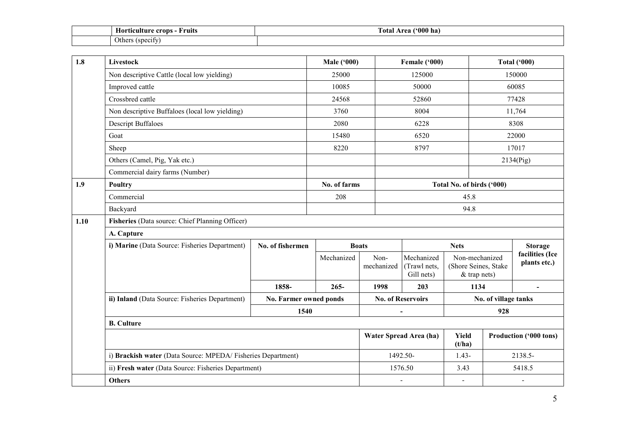| Horticulture<br>crops<br>†ruits | $(900)$ ha<br>Fotal<br>. Area ′ |
|---------------------------------|---------------------------------|
| . .<br>Oth<br>'snecity,         |                                 |

| 1.8  | Livestock                                                   |                        | <b>Male ('000)</b> |                    | Female ('000)                                    |                                                          | <b>Total ('000)</b>    |                                 |
|------|-------------------------------------------------------------|------------------------|--------------------|--------------------|--------------------------------------------------|----------------------------------------------------------|------------------------|---------------------------------|
|      | Non descriptive Cattle (local low yielding)                 |                        | 25000              |                    | 125000                                           |                                                          |                        | 150000                          |
|      | Improved cattle                                             |                        | 10085              |                    | 50000                                            |                                                          | 60085                  |                                 |
|      | Crossbred cattle                                            |                        | 24568              |                    | 52860                                            |                                                          |                        | 77428                           |
|      | Non descriptive Buffaloes (local low yielding)              |                        | 3760               |                    | 8004                                             |                                                          |                        | 11,764                          |
|      | <b>Descript Buffaloes</b>                                   |                        | 2080               |                    | 6228                                             |                                                          |                        | 8308                            |
|      | Goat                                                        |                        | 15480              |                    | 6520                                             |                                                          |                        | 22000                           |
|      | Sheep                                                       |                        | 8220               |                    | 8797                                             |                                                          |                        | 17017                           |
|      | Others (Camel, Pig, Yak etc.)                               |                        |                    |                    |                                                  |                                                          |                        | 2134(Pig)                       |
|      | Commercial dairy farms (Number)                             |                        |                    |                    |                                                  |                                                          |                        |                                 |
| 1.9  | Poultry                                                     |                        | No. of farms       |                    |                                                  | Total No. of birds ('000)                                |                        |                                 |
|      | Commercial                                                  |                        | 208                |                    |                                                  | 45.8                                                     |                        |                                 |
|      | Backyard                                                    |                        |                    |                    | 94.8                                             |                                                          |                        |                                 |
| 1.10 | Fisheries (Data source: Chief Planning Officer)             |                        |                    |                    |                                                  |                                                          |                        |                                 |
|      | A. Capture                                                  |                        |                    |                    |                                                  |                                                          |                        |                                 |
|      | i) Marine (Data Source: Fisheries Department)               | No. of fishermen       |                    | <b>Boats</b>       |                                                  | <b>Nets</b>                                              |                        | <b>Storage</b>                  |
|      |                                                             |                        | Mechanized         | Non-<br>mechanized | Mechanized<br>(Trawl nets,<br>Gill nets)         | Non-mechanized<br>(Shore Seines, Stake<br>$&$ trap nets) |                        | facilities (Ice<br>plants etc.) |
|      |                                                             | 1858-                  | $265 -$            | 1998               | 203                                              | 1134                                                     |                        |                                 |
|      | ii) Inland (Data Source: Fisheries Department)              | No. Farmer owned ponds |                    |                    | <b>No. of Reservoirs</b>                         | No. of village tanks                                     |                        |                                 |
|      |                                                             | 1540                   |                    |                    |                                                  |                                                          | 928                    |                                 |
|      | <b>B.</b> Culture                                           |                        |                    |                    |                                                  |                                                          |                        |                                 |
|      |                                                             |                        |                    |                    | <b>Yield</b><br>Water Spread Area (ha)<br>(t/ha) |                                                          | Production ('000 tons) |                                 |
|      | i) Brackish water (Data Source: MPEDA/Fisheries Department) |                        |                    | 1492.50-           |                                                  | $1.43 -$                                                 | 2138.5-                |                                 |
|      | ii) Fresh water (Data Source: Fisheries Department)         |                        |                    |                    | 1576.50                                          | 3.43                                                     |                        | 5418.5                          |
|      | <b>Others</b>                                               |                        |                    |                    | $\blacksquare$                                   | $\blacksquare$                                           |                        | $\blacksquare$                  |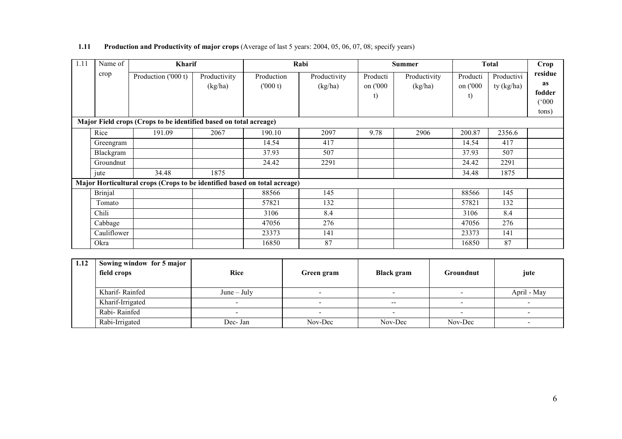### 1.11 Production and Productivity of major crops (Average of last 5 years: 2004, 05, 06, 07, 08; specify years)

| $\overline{1.11}$ | Name of        | Kharif                                                                    |                         |                       | Rabi                    |                            | <b>Summer</b>           |                            | <b>Total</b>             | Crop                                             |
|-------------------|----------------|---------------------------------------------------------------------------|-------------------------|-----------------------|-------------------------|----------------------------|-------------------------|----------------------------|--------------------------|--------------------------------------------------|
|                   | crop           | Production ('000 t)                                                       | Productivity<br>(kg/ha) | Production<br>(000 t) | Productivity<br>(kg/ha) | Producti<br>on ('000<br>t) | Productivity<br>(kg/ha) | Producti<br>on ('000<br>t) | Productivi<br>ty (kg/ha) | residue<br><b>as</b><br>fodder<br>(000)<br>tons) |
|                   |                | Major Field crops (Crops to be identified based on total acreage)         |                         |                       |                         |                            |                         |                            |                          |                                                  |
|                   | Rice           | 191.09                                                                    | 2067                    | 190.10                | 2097                    | 9.78                       | 2906                    | 200.87                     | 2356.6                   |                                                  |
|                   | Greengram      |                                                                           |                         | 14.54                 | 417                     |                            |                         | 14.54                      | 417                      |                                                  |
|                   | Blackgram      |                                                                           |                         | 37.93                 | 507                     |                            |                         | 37.93                      | 507                      |                                                  |
|                   | Groundnut      |                                                                           |                         | 24.42                 | 2291                    |                            |                         | 24.42                      | 2291                     |                                                  |
|                   | jute           | 34.48                                                                     | 1875                    |                       |                         |                            |                         | 34.48                      | 1875                     |                                                  |
|                   |                | Major Horticultural crops (Crops to be identified based on total acreage) |                         |                       |                         |                            |                         |                            |                          |                                                  |
|                   | <b>Brinjal</b> |                                                                           |                         | 88566                 | 145                     |                            |                         | 88566                      | 145                      |                                                  |
|                   | Tomato         |                                                                           |                         | 57821                 | 132                     |                            |                         | 57821                      | 132                      |                                                  |
|                   | Chili          |                                                                           |                         | 3106                  | 8.4                     |                            |                         | 3106                       | 8.4                      |                                                  |
|                   | Cabbage        |                                                                           |                         | 47056                 | 276                     |                            |                         | 47056                      | 276                      |                                                  |
|                   | Cauliflower    |                                                                           |                         | 23373                 | 141                     |                            |                         | 23373                      | 141                      |                                                  |
|                   | Okra           |                                                                           |                         | 16850                 | 87                      |                            |                         | 16850                      | 87                       |                                                  |
|                   |                |                                                                           |                         |                       |                         |                            |                         |                            |                          |                                                  |
| 1.12              |                | Sowing window for 5 major                                                 |                         |                       |                         |                            |                         |                            |                          |                                                  |
|                   | field crops    |                                                                           | <b>Rice</b>             |                       | Green gram              | <b>Black</b> gram          |                         | Groundnut                  |                          | jute                                             |

| field crops      | <b>Rice</b>   | Green gram | <b>Black gram</b>                              | Groundnut | jute                     |
|------------------|---------------|------------|------------------------------------------------|-----------|--------------------------|
| Kharif-Rainfed   | $June - July$ |            |                                                |           | April - May              |
| Kharif-Irrigated |               | -          | $\hspace{0.1mm}-\hspace{0.1mm}-\hspace{0.1mm}$ |           |                          |
| Rabi-Rainfed     |               | -          |                                                |           |                          |
| Rabi-Irrigated   | Dec- Jan      | Nov-Dec    | Nov-Dec                                        | Nov-Dec   | $\overline{\phantom{0}}$ |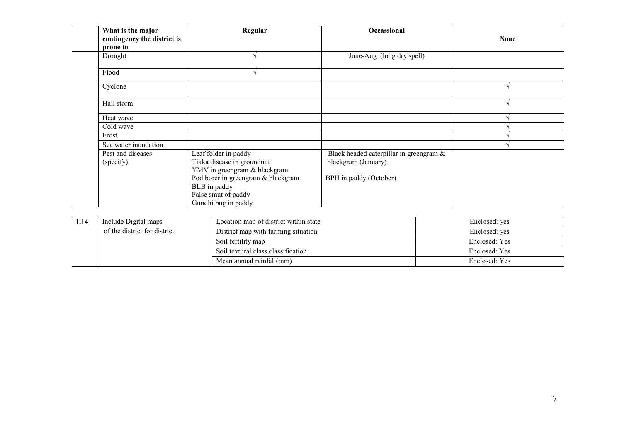| What is the major<br>contingency the district is<br>prone to | Regular                                                                                                                                                                                | Occassional                                                                              | <b>None</b> |
|--------------------------------------------------------------|----------------------------------------------------------------------------------------------------------------------------------------------------------------------------------------|------------------------------------------------------------------------------------------|-------------|
| Drought                                                      |                                                                                                                                                                                        | June-Aug (long dry spell)                                                                |             |
| Flood                                                        |                                                                                                                                                                                        |                                                                                          |             |
| Cyclone                                                      |                                                                                                                                                                                        |                                                                                          |             |
| Hail storm                                                   |                                                                                                                                                                                        |                                                                                          |             |
| Heat wave                                                    |                                                                                                                                                                                        |                                                                                          |             |
| Cold wave                                                    |                                                                                                                                                                                        |                                                                                          |             |
| Frost                                                        |                                                                                                                                                                                        |                                                                                          |             |
| Sea water inundation                                         |                                                                                                                                                                                        |                                                                                          |             |
| Pest and diseases<br>(specify)                               | Leaf folder in paddy<br>Tikka disease in groundnut<br>YMV in greengram & blackgram<br>Pod borer in greengram & blackgram<br>BLB in paddy<br>False smut of paddy<br>Gundhi bug in paddy | Black headed caterpillar in greengram &<br>blackgram (January)<br>BPH in paddy (October) |             |

| Include Digital maps         | Location map of district within state | Enclosed: yes |
|------------------------------|---------------------------------------|---------------|
| of the district for district | District map with farming situation   | Enclosed: yes |
|                              | Soil fertility map                    | Enclosed: Yes |
|                              | Soil textural class classification    | Enclosed: Yes |
|                              | Mean annual rainfall(mm)              | Enclosed: Yes |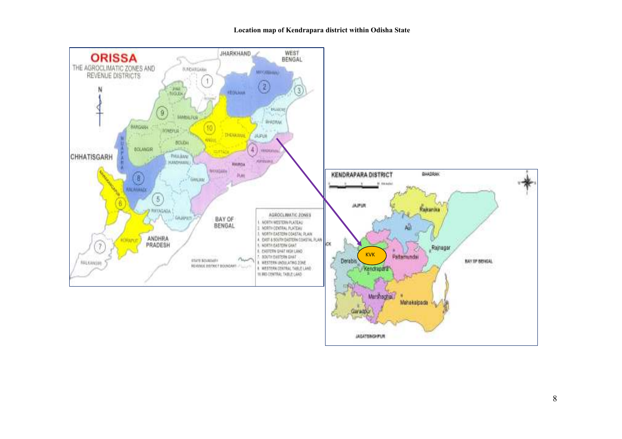#### Location map of Kendrapara district within Odisha State

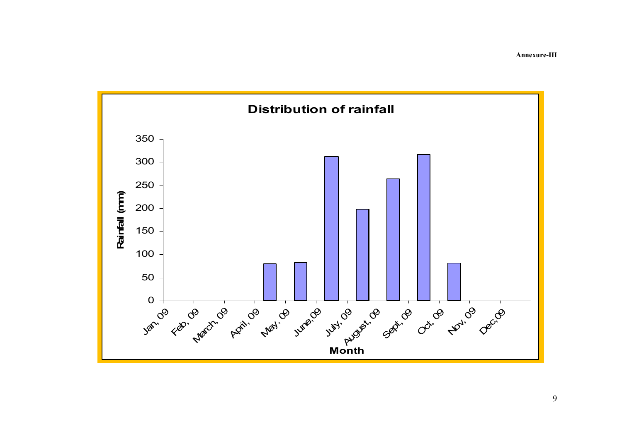Annexure-III

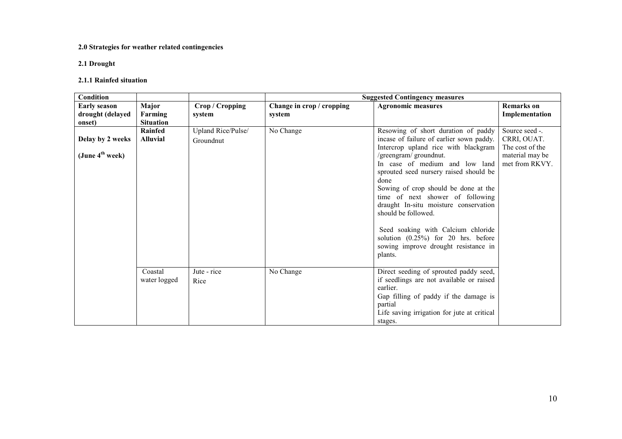### 2.0 Strategies for weather related contingencies

### 2.1 Drought

### 2.1.1 Rainfed situation

| <b>Condition</b>                                  |                                      |                                 | <b>Suggested Contingency measures</b> |                                                                                                                                                                                                                                                                                                                                                                                                                                                                                                                      |                                                                                       |  |  |
|---------------------------------------------------|--------------------------------------|---------------------------------|---------------------------------------|----------------------------------------------------------------------------------------------------------------------------------------------------------------------------------------------------------------------------------------------------------------------------------------------------------------------------------------------------------------------------------------------------------------------------------------------------------------------------------------------------------------------|---------------------------------------------------------------------------------------|--|--|
| <b>Early season</b><br>drought (delayed<br>onset) | Major<br>Farming<br><b>Situation</b> | Crop / Cropping<br>system       | Change in crop / cropping<br>system   | <b>Agronomic measures</b>                                                                                                                                                                                                                                                                                                                                                                                                                                                                                            | <b>Remarks</b> on<br>Implementation                                                   |  |  |
| Delay by 2 weeks<br>(June $4^{\text{th}}$ week)   | Rainfed<br><b>Alluvial</b>           | Upland Rice/Pulse/<br>Groundnut | No Change                             | Resowing of short duration of paddy<br>incase of failure of earlier sown paddy.<br>Intercrop upland rice with blackgram<br>/greengram/ groundnut.<br>In case of medium and low land<br>sprouted seed nursery raised should be<br>done<br>Sowing of crop should be done at the<br>time of next shower of following<br>draught In-situ moisture conservation<br>should be followed.<br>Seed soaking with Calcium chloride<br>solution $(0.25\%)$ for 20 hrs. before<br>sowing improve drought resistance in<br>plants. | Source seed -.<br>CRRI, OUAT.<br>The cost of the<br>material may be<br>met from RKVY. |  |  |
|                                                   | Coastal<br>water logged              | Jute - rice<br>Rice             | No Change                             | Direct seeding of sprouted paddy seed,<br>if seedlings are not available or raised<br>earlier.<br>Gap filling of paddy if the damage is<br>partial<br>Life saving irrigation for jute at critical<br>stages.                                                                                                                                                                                                                                                                                                         |                                                                                       |  |  |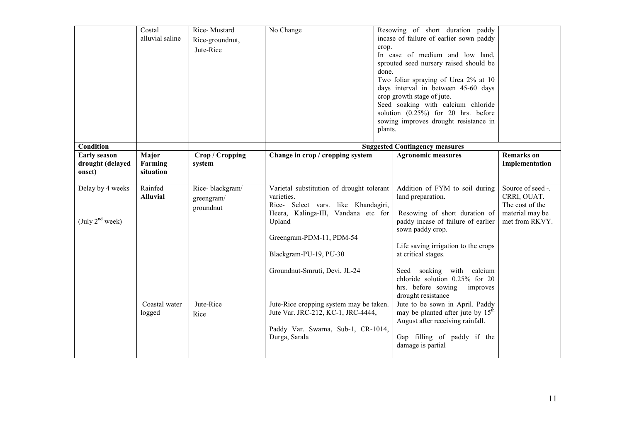|                                                   | Costal<br>alluvial saline            | Rice-Mustard<br>Rice-groundnut,<br>Jute-Rice | No Change                                                                                                                                                                                                                              | crop.<br>done.<br>plants. | Resowing of short duration paddy<br>incase of failure of earlier sown paddy<br>In case of medium and low land,<br>sprouted seed nursery raised should be<br>Two foliar spraying of Urea 2% at 10<br>days interval in between 45-60 days<br>crop growth stage of jute.<br>Seed soaking with calcium chloride<br>solution (0.25%) for 20 hrs. before<br>sowing improves drought resistance in |                                                                                          |
|---------------------------------------------------|--------------------------------------|----------------------------------------------|----------------------------------------------------------------------------------------------------------------------------------------------------------------------------------------------------------------------------------------|---------------------------|---------------------------------------------------------------------------------------------------------------------------------------------------------------------------------------------------------------------------------------------------------------------------------------------------------------------------------------------------------------------------------------------|------------------------------------------------------------------------------------------|
| Condition                                         |                                      |                                              |                                                                                                                                                                                                                                        |                           | <b>Suggested Contingency measures</b>                                                                                                                                                                                                                                                                                                                                                       |                                                                                          |
| <b>Early season</b><br>drought (delayed<br>onset) | <b>Major</b><br>Farming<br>situation | Crop / Cropping<br>system                    | Change in crop / cropping system                                                                                                                                                                                                       |                           | <b>Agronomic measures</b>                                                                                                                                                                                                                                                                                                                                                                   | <b>Remarks</b> on<br>Implementation                                                      |
| Delay by 4 weeks<br>(July 2 <sup>nd</sup> week)   | Rainfed<br><b>Alluvial</b>           | Rice-blackgram/<br>greengram/<br>groundnut   | Varietal substitution of drought tolerant<br>varieties.<br>Rice- Select vars. like Khandagiri,<br>Heera, Kalinga-III, Vandana etc for<br>Upland<br>Greengram-PDM-11, PDM-54<br>Blackgram-PU-19, PU-30<br>Groundnut-Smruti, Devi, JL-24 |                           | Addition of FYM to soil during<br>land preparation.<br>Resowing of short duration of<br>paddy incase of failure of earlier<br>sown paddy crop.<br>Life saving irrigation to the crops<br>at critical stages.<br>Seed soaking with calcium<br>chloride solution 0.25% for 20<br>hrs. before sowing<br>improves<br>drought resistance                                                         | Source of seed -.<br>CRRI, OUAT.<br>The cost of the<br>material may be<br>met from RKVY. |
|                                                   | Coastal water<br>logged              | Jute-Rice<br>Rice                            | Jute-Rice cropping system may be taken.<br>Jute Var. JRC-212, KC-1, JRC-4444,<br>Paddy Var. Swarna, Sub-1, CR-1014,<br>Durga, Sarala                                                                                                   |                           | Jute to be sown in April. Paddy<br>may be planted after jute by $15th$<br>August after receiving rainfall.<br>Gap filling of paddy if the<br>damage is partial                                                                                                                                                                                                                              |                                                                                          |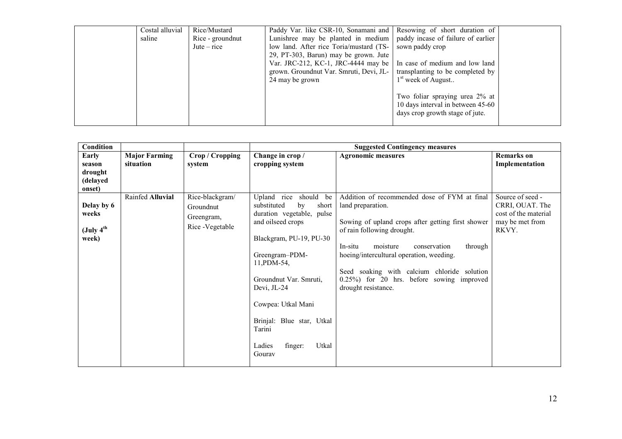| Costal alluvial<br>saline | Rice/Mustard<br>Rice - ground nut<br>$\text{Jute}-\text{rice}$ | Paddy Var. like CSR-10, Sonamani and Resowing of short duration of<br>Lunishree may be planted in medium   paddy incase of failure of earlier<br>low land. After rice Toria/mustard (TS-<br>29, PT-303, Barun) may be grown. Jute<br>Var. JRC-212, KC-1, JRC-4444 may be   In case of medium and low land<br>grown. Groundnut Var. Smruti, Devi, JL-<br>24 may be grown | sown paddy crop<br>transplanting to be completed by<br>$1st$ week of August                            |  |
|---------------------------|----------------------------------------------------------------|-------------------------------------------------------------------------------------------------------------------------------------------------------------------------------------------------------------------------------------------------------------------------------------------------------------------------------------------------------------------------|--------------------------------------------------------------------------------------------------------|--|
|                           |                                                                |                                                                                                                                                                                                                                                                                                                                                                         | Two foliar spraying urea 2% at<br>10 days interval in between 45-60<br>days crop growth stage of jute. |  |

| <b>Condition</b>                                      |                                   |                                                                | <b>Suggested Contingency measures</b>                                                                                                                                                                                                                                                                              |                                                                                                                                                                                                                                                                                                                                                                       |                                                                                         |  |  |  |
|-------------------------------------------------------|-----------------------------------|----------------------------------------------------------------|--------------------------------------------------------------------------------------------------------------------------------------------------------------------------------------------------------------------------------------------------------------------------------------------------------------------|-----------------------------------------------------------------------------------------------------------------------------------------------------------------------------------------------------------------------------------------------------------------------------------------------------------------------------------------------------------------------|-----------------------------------------------------------------------------------------|--|--|--|
| Early<br>season<br>drought<br>(delayed<br>onset)      | <b>Major Farming</b><br>situation | Crop / Cropping<br>system                                      | Change in crop /<br>cropping system                                                                                                                                                                                                                                                                                | <b>Agronomic measures</b>                                                                                                                                                                                                                                                                                                                                             | <b>Remarks</b> on<br>Implementation                                                     |  |  |  |
| Delay by 6<br>weeks<br>(July 4 <sup>th</sup><br>week) | Rainfed Alluvial                  | Rice-blackgram/<br>Groundnut<br>Greengram,<br>Rice - Vegetable | Upland rice should<br>be<br>substituted<br>short<br>by<br>duration vegetable, pulse<br>and oilseed crops<br>Blackgram, PU-19, PU-30<br>Greengram-PDM-<br>11, PDM-54,<br>Groundnut Var. Smruti,<br>Devi, JL-24<br>Cowpea: Utkal Mani<br>Brinjal: Blue star, Utkal<br>Tarini<br>Utkal<br>Ladies<br>finger:<br>Gourav | Addition of recommended dose of FYM at final<br>land preparation.<br>Sowing of upland crops after getting first shower<br>of rain following drought.<br>moisture<br>through<br>In-situ<br>conservation<br>hoeing/intercultural operation, weeding.<br>Seed soaking with calcium chloride solution<br>0.25%) for 20 hrs. before sowing improved<br>drought resistance. | Source of seed -<br>CRRI, OUAT. The<br>cost of the material<br>may be met from<br>RKVY. |  |  |  |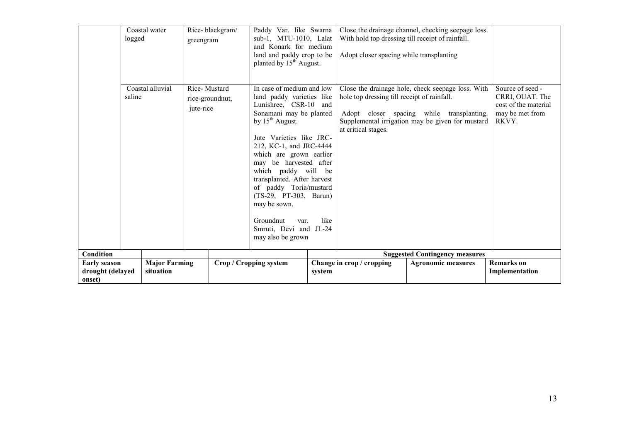|                                                   | Coastal water<br>logged           | greengram | Rice-blackgram/                 | Paddy Var. like Swarna<br>sub-1, MTU-1010, Lalat<br>and Konark for medium<br>land and paddy crop to be<br>planted by $15^{th}$ August.                                                                                                                                                                                                                                                                                                       |        | With hold top dressing till receipt of rainfall.<br>Adopt closer spacing while transplanting | Close the drainage channel, checking seepage loss.                                                                                                 |                                                                                         |
|---------------------------------------------------|-----------------------------------|-----------|---------------------------------|----------------------------------------------------------------------------------------------------------------------------------------------------------------------------------------------------------------------------------------------------------------------------------------------------------------------------------------------------------------------------------------------------------------------------------------------|--------|----------------------------------------------------------------------------------------------|----------------------------------------------------------------------------------------------------------------------------------------------------|-----------------------------------------------------------------------------------------|
|                                                   | Coastal alluvial<br>saline        | jute-rice | Rice-Mustard<br>rice-groundnut, | In case of medium and low<br>land paddy varieties like<br>Lunishree, CSR-10 and<br>Sonamani may be planted<br>by $15^{th}$ August.<br>Jute Varieties like JRC-<br>212, KC-1, and JRC-4444<br>which are grown earlier<br>may be harvested after<br>which paddy will be<br>transplanted. After harvest<br>of paddy Toria/mustard<br>(TS-29, PT-303, Barun)<br>may be sown.<br>Groundnut<br>var.<br>Smruti, Devi and JL-24<br>may also be grown | like   | hole top dressing till receipt of rainfall.<br>at critical stages.                           | Close the drainage hole, check seepage loss. With<br>Adopt closer spacing while transplanting.<br>Supplemental irrigation may be given for mustard | Source of seed -<br>CRRI, OUAT. The<br>cost of the material<br>may be met from<br>RKVY. |
| Condition                                         |                                   |           |                                 |                                                                                                                                                                                                                                                                                                                                                                                                                                              |        |                                                                                              | <b>Suggested Contingency measures</b>                                                                                                              |                                                                                         |
| <b>Early season</b><br>drought (delayed<br>onset) | <b>Major Farming</b><br>situation |           |                                 | <b>Crop / Cropping system</b>                                                                                                                                                                                                                                                                                                                                                                                                                | system | Change in crop / cropping                                                                    | <b>Agronomic measures</b>                                                                                                                          | <b>Remarks</b> on<br>Implementation                                                     |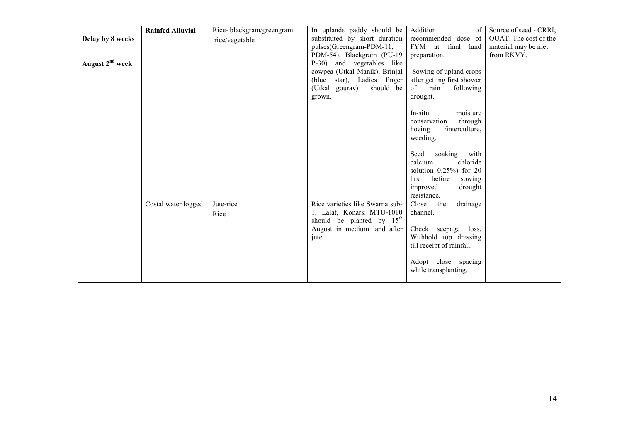|                             | <b>Rainfed Alluvial</b> | Rice-blackgram/greengram | In uplands paddy should be      | Addition<br>$\sigma$ f        | Source of seed - CRRI, |
|-----------------------------|-------------------------|--------------------------|---------------------------------|-------------------------------|------------------------|
| Delay by 8 weeks            |                         | rice/vegetable           | substituted by short duration   | recommended dose of           | OUAT. The cost of the  |
|                             |                         |                          | pulses(Greengram-PDM-11,        | <b>FYM</b><br>at final land   | material may be met    |
|                             |                         |                          | PDM-54), Blackgram (PU-19       | preparation.                  | from RKVY.             |
| August 2 <sup>nd</sup> week |                         |                          | P-30) and vegetables like       |                               |                        |
|                             |                         |                          | cowpea (Utkal Manik), Brinjal   | Sowing of upland crops        |                        |
|                             |                         |                          | (blue star), Ladies finger      | after getting first shower    |                        |
|                             |                         |                          | (Utkal gourav)<br>should be     | following<br>$\sigma$<br>rain |                        |
|                             |                         |                          | grown.                          | drought.                      |                        |
|                             |                         |                          |                                 |                               |                        |
|                             |                         |                          |                                 | In-situ<br>moisture           |                        |
|                             |                         |                          |                                 | through<br>conservation       |                        |
|                             |                         |                          |                                 | /interculture,<br>hoeing      |                        |
|                             |                         |                          |                                 | weeding.                      |                        |
|                             |                         |                          |                                 |                               |                        |
|                             |                         |                          |                                 | soaking<br>Seed<br>with       |                        |
|                             |                         |                          |                                 | calcium<br>chloride           |                        |
|                             |                         |                          |                                 | solution $0.25\%$ ) for 20    |                        |
|                             |                         |                          |                                 | before<br>hrs.                |                        |
|                             |                         |                          |                                 | sowing                        |                        |
|                             |                         |                          |                                 | improved<br>drought           |                        |
|                             |                         |                          |                                 | resistance.                   |                        |
|                             | Costal water logged     | Jute-rice                | Rice varieties like Swarna sub- | drainage<br>Close<br>the      |                        |
|                             |                         | Rice                     | 1, Lalat, Konark MTU-1010       | channel.                      |                        |
|                             |                         |                          | should be planted by $15th$     |                               |                        |
|                             |                         |                          | August in medium land after     | Check seepage loss.           |                        |
|                             |                         |                          | jute                            | Withhold top dressing         |                        |
|                             |                         |                          |                                 | till receipt of rainfall.     |                        |
|                             |                         |                          |                                 |                               |                        |
|                             |                         |                          |                                 | Adopt close spacing           |                        |
|                             |                         |                          |                                 | while transplanting.          |                        |
|                             |                         |                          |                                 |                               |                        |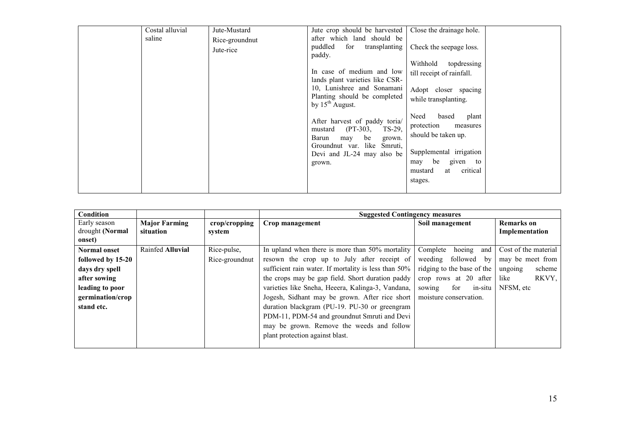| Costal alluvial | Jute-Mustard                | Jute crop should be harvested                                                                                                                                              | Close the drainage hole.                                                                                                                                            |
|-----------------|-----------------------------|----------------------------------------------------------------------------------------------------------------------------------------------------------------------------|---------------------------------------------------------------------------------------------------------------------------------------------------------------------|
| saline          | Rice-groundnut<br>Jute-rice | after which land should be<br>puddled<br>for<br>transplanting<br>paddy.                                                                                                    | Check the seepage loss.                                                                                                                                             |
|                 |                             | In case of medium and low<br>lands plant varieties like CSR-<br>10, Lunishree and Sonamani<br>Planting should be completed<br>by $15^{th}$ August.                         | topdressing<br>Withhold<br>till receipt of rainfall.<br>Adopt closer spacing<br>while transplanting.                                                                |
|                 |                             | After harvest of paddy toria/<br>$(PT-303,$<br>TS-29,<br>mustard<br>be<br>Barun<br>may<br>grown.<br>Groundnut var. like<br>Smruti,<br>Devi and JL-24 may also be<br>grown. | Need<br>based<br>plant<br>protection<br>measures<br>should be taken up.<br>Supplemental irrigation<br>be<br>given to<br>may<br>critical<br>mustard<br>at<br>stages. |
|                 |                             |                                                                                                                                                                            |                                                                                                                                                                     |

| <b>Condition</b>                |                                   |                         | <b>Suggested Contingency measures</b>                |                            |                                     |
|---------------------------------|-----------------------------------|-------------------------|------------------------------------------------------|----------------------------|-------------------------------------|
| Early season<br>drought (Normal | <b>Major Farming</b><br>situation | crop/cropping<br>system | Crop management                                      | Soil management            | <b>Remarks</b> on<br>Implementation |
| onset)                          |                                   |                         |                                                      |                            |                                     |
| <b>Normal onset</b>             | Rainfed Alluvial                  | Rice-pulse,             | In upland when there is more than 50% mortality      | hoeing<br>Complete<br>and  | Cost of the material                |
| followed by 15-20               |                                   | Rice-ground nut         | resown the crop up to July after receipt of          | weeding followed by        | may be meet from                    |
| days dry spell                  |                                   |                         | sufficient rain water. If mortality is less than 50% | ridging to the base of the | scheme<br>ungoing                   |
| after sowing                    |                                   |                         | the crops may be gap field. Short duration paddy     | crop rows at 20 after      | RKVY,<br>like                       |
| leading to poor                 |                                   |                         | varieties like Sneha, Heeera, Kalinga-3, Vandana,    | for<br>in-situ<br>sowing   | NFSM, etc                           |
| germination/crop                |                                   |                         | Jogesh, Sidhant may be grown. After rice short       | moisture conservation.     |                                     |
| stand etc.                      |                                   |                         | duration blackgram (PU-19. PU-30 or greengram        |                            |                                     |
|                                 |                                   |                         | PDM-11, PDM-54 and groundnut Smruti and Devi         |                            |                                     |
|                                 |                                   |                         | may be grown. Remove the weeds and follow            |                            |                                     |
|                                 |                                   |                         | plant protection against blast.                      |                            |                                     |
|                                 |                                   |                         |                                                      |                            |                                     |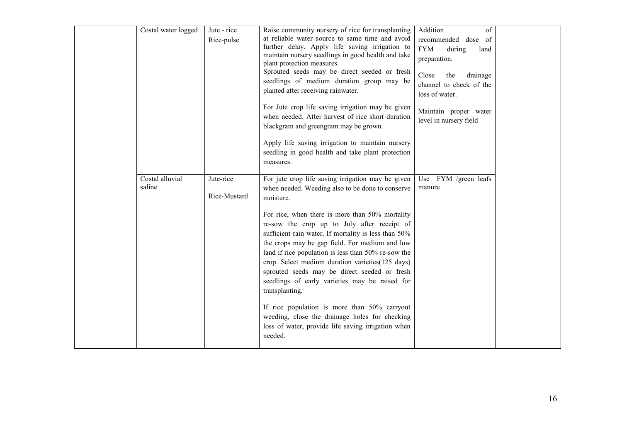| Costal water logged       | Jute - rice<br>Rice-pulse | Raise community nursery of rice for transplanting<br>at reliable water source to same time and avoid<br>further delay. Apply life saving irrigation to<br>maintain nursery seedlings in good health and take<br>plant protection measures.<br>Sprouted seeds may be direct seeded or fresh<br>seedlings of medium duration group may be<br>planted after receiving rainwater.<br>For Jute crop life saving irrigation may be given<br>when needed. After harvest of rice short duration<br>blackgram and greengram may be grown.<br>Apply life saving irrigation to maintain nursery<br>seedling in good health and take plant protection<br>measures.                                                                            | Addition<br>of<br>recommended dose of<br><b>FYM</b><br>during<br>land<br>preparation.<br>drainage<br>Close<br>the<br>channel to check of the<br>loss of water.<br>Maintain proper water<br>level in nursery field |  |
|---------------------------|---------------------------|-----------------------------------------------------------------------------------------------------------------------------------------------------------------------------------------------------------------------------------------------------------------------------------------------------------------------------------------------------------------------------------------------------------------------------------------------------------------------------------------------------------------------------------------------------------------------------------------------------------------------------------------------------------------------------------------------------------------------------------|-------------------------------------------------------------------------------------------------------------------------------------------------------------------------------------------------------------------|--|
| Costal alluvial<br>saline | Jute-rice<br>Rice-Mustard | For jute crop life saving irrigation may be given<br>when needed. Weeding also to be done to conserve<br>moisture.<br>For rice, when there is more than 50% mortality<br>re-sow the crop up to July after receipt of<br>sufficient rain water. If mortality is less than 50%<br>the crops may be gap field. For medium and low<br>land if rice population is less than 50% re-sow the<br>crop. Select medium duration varieties (125 days)<br>sprouted seeds may be direct seeded or fresh<br>seedlings of early varieties may be raised for<br>transplanting.<br>If rice population is more than 50% carryout<br>weeding, close the drainage holes for checking<br>loss of water, provide life saving irrigation when<br>needed. | Use FYM /green leafs<br>manure                                                                                                                                                                                    |  |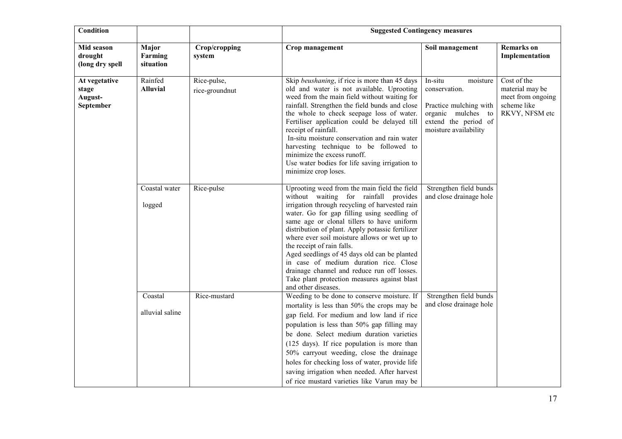| <b>Condition</b>                               |                               |                               | <b>Suggested Contingency measures</b>                                                                                                                                                                                                                                                                                                                                                                                                                                                                                                                                                  |                                                                                                                                       |                                                                                      |  |
|------------------------------------------------|-------------------------------|-------------------------------|----------------------------------------------------------------------------------------------------------------------------------------------------------------------------------------------------------------------------------------------------------------------------------------------------------------------------------------------------------------------------------------------------------------------------------------------------------------------------------------------------------------------------------------------------------------------------------------|---------------------------------------------------------------------------------------------------------------------------------------|--------------------------------------------------------------------------------------|--|
| Mid season<br>drought<br>(long dry spell       | Major<br>Farming<br>situation | Crop/cropping<br>system       | Crop management                                                                                                                                                                                                                                                                                                                                                                                                                                                                                                                                                                        | Soil management                                                                                                                       | <b>Remarks</b> on<br>Implementation                                                  |  |
| At vegetative<br>stage<br>August-<br>September | Rainfed<br><b>Alluvial</b>    | Rice-pulse,<br>rice-groundnut | Skip beushaning, if rice is more than 45 days<br>old and water is not available. Uprooting<br>weed from the main field without waiting for<br>rainfall. Strengthen the field bunds and close<br>the whole to check seepage loss of water.<br>Fertiliser application could be delayed till<br>receipt of rainfall.<br>In-situ moisture conservation and rain water<br>harvesting technique to be followed to<br>minimize the excess runoff.<br>Use water bodies for life saving irrigation to<br>minimize crop loses.                                                                   | In-situ<br>moisture<br>conservation.<br>Practice mulching with<br>organic mulches to<br>extend the period of<br>moisture availability | Cost of the<br>material may be<br>meet from ongoing<br>scheme like<br>RKVY, NFSM etc |  |
|                                                | Coastal water<br>logged       | Rice-pulse                    | Uprooting weed from the main field the field<br>without waiting for rainfall provides<br>irrigation through recycling of harvested rain<br>water. Go for gap filling using seedling of<br>same age or clonal tillers to have uniform<br>distribution of plant. Apply potassic fertilizer<br>where ever soil moisture allows or wet up to<br>the receipt of rain falls.<br>Aged seedlings of 45 days old can be planted<br>in case of medium duration rice. Close<br>drainage channel and reduce run off losses.<br>Take plant protection measures against blast<br>and other diseases. | Strengthen field bunds<br>and close drainage hole                                                                                     |                                                                                      |  |
|                                                | Coastal<br>alluvial saline    | Rice-mustard                  | Weeding to be done to conserve moisture. If<br>mortality is less than 50% the crops may be<br>gap field. For medium and low land if rice<br>population is less than 50% gap filling may<br>be done. Select medium duration varieties<br>(125 days). If rice population is more than<br>50% carryout weeding, close the drainage<br>holes for checking loss of water, provide life<br>saving irrigation when needed. After harvest<br>of rice mustard varieties like Varun may be                                                                                                       | Strengthen field bunds<br>and close drainage hole                                                                                     |                                                                                      |  |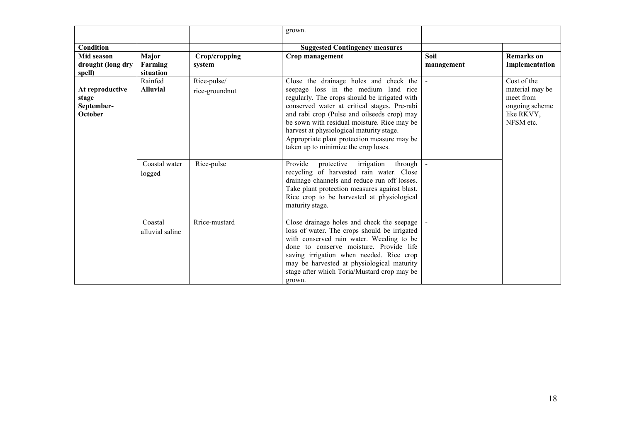|                                                   |                            |                | grown.                                                                                                                                                                                                                                                                                                                               |            |                                                                           |
|---------------------------------------------------|----------------------------|----------------|--------------------------------------------------------------------------------------------------------------------------------------------------------------------------------------------------------------------------------------------------------------------------------------------------------------------------------------|------------|---------------------------------------------------------------------------|
| Condition                                         |                            |                | <b>Suggested Contingency measures</b>                                                                                                                                                                                                                                                                                                |            |                                                                           |
| Mid season                                        | Major                      | Crop/cropping  | Crop management                                                                                                                                                                                                                                                                                                                      | Soil       | <b>Remarks</b> on                                                         |
| drought (long dry                                 | Farming                    | system         |                                                                                                                                                                                                                                                                                                                                      | management | Implementation                                                            |
| spell)                                            | situation                  |                |                                                                                                                                                                                                                                                                                                                                      |            |                                                                           |
|                                                   | Rainfed                    | Rice-pulse/    | Close the drainage holes and check the                                                                                                                                                                                                                                                                                               |            | Cost of the                                                               |
| At reproductive<br>stage<br>September-<br>October | <b>Alluvial</b>            | rice-groundnut | seepage loss in the medium land rice<br>regularly. The crops should be irrigated with<br>conserved water at critical stages. Pre-rabi<br>and rabi crop (Pulse and oilseeds crop) may<br>be sown with residual moisture. Rice may be<br>harvest at physiological maturity stage.<br>Appropriate plant protection measure may be       |            | material may be<br>meet from<br>ongoing scheme<br>like RKVY,<br>NFSM etc. |
|                                                   |                            |                | taken up to minimize the crop loses.                                                                                                                                                                                                                                                                                                 |            |                                                                           |
|                                                   | Coastal water<br>logged    | Rice-pulse     | Provide<br>protective<br>irrigation<br>through<br>recycling of harvested rain water. Close<br>drainage channels and reduce run off losses.<br>Take plant protection measures against blast.<br>Rice crop to be harvested at physiological<br>maturity stage.                                                                         |            |                                                                           |
|                                                   | Coastal<br>alluvial saline | Rrice-mustard  | Close drainage holes and check the seepage<br>loss of water. The crops should be irrigated<br>with conserved rain water. Weeding to be<br>done to conserve moisture. Provide life<br>saving irrigation when needed. Rice crop<br>may be harvested at physiological maturity<br>stage after which Toria/Mustard crop may be<br>grown. |            |                                                                           |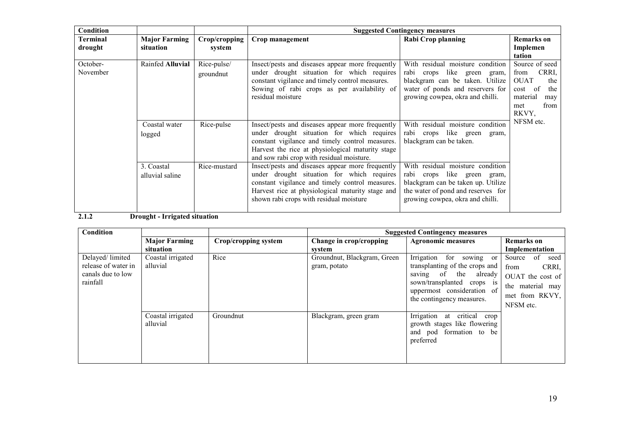| Condition       |                      |               | <b>Suggested Contingency measures</b>            |                                    |                     |  |
|-----------------|----------------------|---------------|--------------------------------------------------|------------------------------------|---------------------|--|
| <b>Terminal</b> | <b>Major Farming</b> | Crop/cropping | Crop management                                  | <b>Rabi Crop planning</b>          | <b>Remarks</b> on   |  |
| drought         | situation            | system        |                                                  |                                    | Implemen            |  |
|                 |                      |               |                                                  |                                    | tation              |  |
| October-        | Rainfed Alluvial     | Rice-pulse/   | Insect/pests and diseases appear more frequently | With residual moisture condition   | Source of seed      |  |
| November        |                      | groundnut     | under drought situation for which requires       | rabi crops like green gram,        | CRRI,<br>from       |  |
|                 |                      |               | constant vigilance and timely control measures.  | blackgram can be taken. Utilize    | <b>OUAT</b><br>the  |  |
|                 |                      |               | Sowing of rabi crops as per availability of      | water of ponds and reservers for   | the<br>- of<br>cost |  |
|                 |                      |               | residual moisture                                | growing cowpea, okra and chilli.   | material<br>may     |  |
|                 |                      |               |                                                  |                                    | from<br>met         |  |
|                 |                      |               |                                                  |                                    | RKVY,               |  |
|                 | Coastal water        | Rice-pulse    | Insect/pests and diseases appear more frequently | With residual moisture condition   | NFSM etc.           |  |
|                 | logged               |               | under drought situation for which requires       | rabi crops like green<br>gram,     |                     |  |
|                 |                      |               | constant vigilance and timely control measures.  | blackgram can be taken.            |                     |  |
|                 |                      |               | Harvest the rice at physiological maturity stage |                                    |                     |  |
|                 |                      |               | and sow rabi crop with residual moisture.        |                                    |                     |  |
|                 | 3. Coastal           | Rice-mustard  | Insect/pests and diseases appear more frequently | With residual moisture condition   |                     |  |
|                 | alluvial saline      |               | under drought situation for which requires       | rabi crops like green<br>gram,     |                     |  |
|                 |                      |               | constant vigilance and timely control measures.  | blackgram can be taken up. Utilize |                     |  |
|                 |                      |               | Harvest rice at physiological maturity stage and | the water of pond and reserves for |                     |  |
|                 |                      |               | shown rabi crops with residual moisture          | growing cowpea, okra and chilli.   |                     |  |
|                 |                      |               |                                                  |                                    |                     |  |

## 2.1.2 Drought - Irrigated situation

| Condition                                                               |                                   |                      | <b>Suggested Contingency measures</b>       |                                                                                                                                                                              |                                                                                                              |  |
|-------------------------------------------------------------------------|-----------------------------------|----------------------|---------------------------------------------|------------------------------------------------------------------------------------------------------------------------------------------------------------------------------|--------------------------------------------------------------------------------------------------------------|--|
|                                                                         | <b>Major Farming</b><br>situation | Crop/cropping system | Change in crop/cropping<br>system           | <b>Agronomic measures</b>                                                                                                                                                    | <b>Remarks</b> on<br>Implementation                                                                          |  |
| Delayed/limited<br>release of water in<br>canals due to low<br>rainfall | Coastal irrigated<br>alluvial     | Rice                 | Groundnut, Blackgram, Green<br>gram, potato | Irrigation for sowing or<br>transplanting of the crops and<br>saving of the already<br>sown/transplanted crops is<br>uppermost consideration of<br>the contingency measures. | of<br>Source<br>seed<br>CRRI,<br>from<br>OUAT the cost of<br>the material may<br>met from RKVY,<br>NFSM etc. |  |
|                                                                         | Coastal irrigated<br>alluvial     | Groundnut            | Blackgram, green gram                       | Irrigation at critical<br>crop<br>growth stages like flowering<br>and pod formation to be<br>preferred                                                                       |                                                                                                              |  |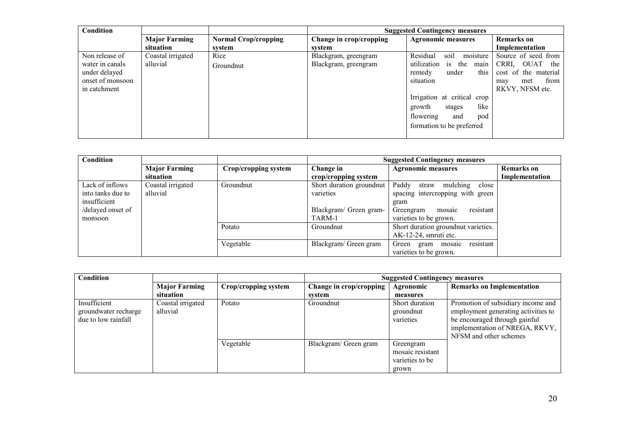| <b>Condition</b> |                      |                             | <b>Suggested Contingency measures</b> |                               |                      |
|------------------|----------------------|-----------------------------|---------------------------------------|-------------------------------|----------------------|
|                  | <b>Major Farming</b> | <b>Normal Crop/cropping</b> | Change in crop/cropping               | <b>Agronomic measures</b>     | <b>Remarks</b> on    |
|                  | situation            | system                      | svstem                                |                               | Implementation       |
| Non release of   | Coastal irrigated    | Rice                        | Blackgram, greengram                  | Residual<br>soil<br>moisture  | Source of seed from  |
| water in canals  | alluvial             | Groundnut                   | Blackgram, greengram                  | utilization<br>is the<br>main | OUAT<br>CRRI.<br>the |
| under delayed    |                      |                             |                                       | this<br>under<br>remedy       | cost of the material |
| onset of monsoon |                      |                             |                                       | situation                     | from<br>met<br>may   |
| in catchment     |                      |                             |                                       |                               | RKVY, NFSM etc.      |
|                  |                      |                             |                                       | Irrigation at critical crop   |                      |
|                  |                      |                             |                                       | like<br>growth<br>stages      |                      |
|                  |                      |                             |                                       | flowering<br>pod<br>and       |                      |
|                  |                      |                             |                                       | formation to be preferred     |                      |
|                  |                      |                             |                                       |                               |                      |

| <b>Condition</b>  |                      |                      | <b>Suggested Contingency measures</b> |                                      |                   |
|-------------------|----------------------|----------------------|---------------------------------------|--------------------------------------|-------------------|
|                   | <b>Major Farming</b> | Crop/cropping system | Change in                             | <b>Agronomic measures</b>            | <b>Remarks</b> on |
|                   | situation            |                      | crop/cropping system                  |                                      | Implementation    |
| Lack of inflows   | Coastal irrigated    | Groundnut            | Short duration groundnut              | Paddy<br>mulching<br>straw<br>close  |                   |
| into tanks due to | alluvial             |                      | varieties                             | spacing intercropping with green     |                   |
| insufficient      |                      |                      |                                       | gram                                 |                   |
| /delayed onset of |                      |                      | Blackgram/ Green gram-                | mosaic<br>resistant<br>Greengram     |                   |
| monsoon           |                      |                      | TARM-1                                | varieties to be grown.               |                   |
|                   |                      | Potato               | Groundnut                             | Short duration groundnut varieties.  |                   |
|                   |                      |                      |                                       | AK-12-24, smruti etc.                |                   |
|                   |                      | Vegetable            | Blackgram/ Green gram                 | resistant<br>Green<br>gram<br>mosaic |                   |
|                   |                      |                      |                                       | varieties to be grown.               |                   |

| <b>Condition</b>                                            |                                   |                      | <b>Suggested Contingency measures</b> |                                                           |                                                                                                                                                                        |
|-------------------------------------------------------------|-----------------------------------|----------------------|---------------------------------------|-----------------------------------------------------------|------------------------------------------------------------------------------------------------------------------------------------------------------------------------|
|                                                             | <b>Major Farming</b><br>situation | Crop/cropping system | Change in crop/cropping<br>svstem     | Agronomic<br>measures                                     | <b>Remarks on Implementation</b>                                                                                                                                       |
| Insufficient<br>groundwater recharge<br>due to low rainfall | Coastal irrigated<br>alluvial     | Potato               | Groundnut                             | Short duration<br>groundnut<br>varieties                  | Promotion of subsidiary income and<br>employment generating activities to<br>be encouraged through gainful<br>implementation of NREGA, RKVY,<br>NFSM and other schemes |
|                                                             |                                   | Vegetable            | Blackgram/ Green gram                 | Greengram<br>mosaic resistant<br>varieties to be<br>grown |                                                                                                                                                                        |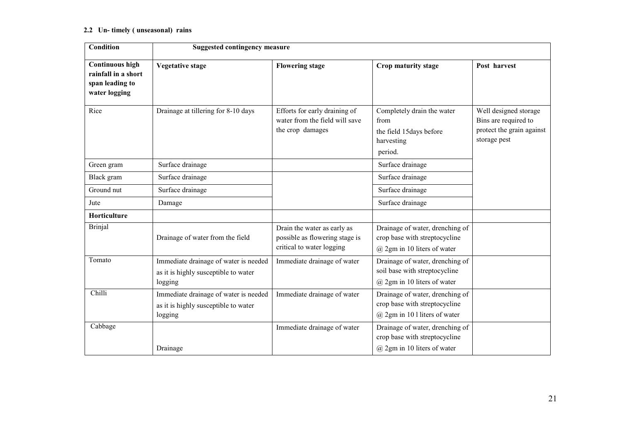### 2.2 Un- timely ( unseasonal) rains

| <b>Condition</b>                                                                  | <b>Suggested contingency measure</b>                                                     |                                                                                            |                                                                                                      |                                                                                            |  |  |
|-----------------------------------------------------------------------------------|------------------------------------------------------------------------------------------|--------------------------------------------------------------------------------------------|------------------------------------------------------------------------------------------------------|--------------------------------------------------------------------------------------------|--|--|
| <b>Continuous high</b><br>rainfall in a short<br>span leading to<br>water logging | <b>Vegetative stage</b>                                                                  | <b>Flowering stage</b>                                                                     | Crop maturity stage                                                                                  | Post harvest                                                                               |  |  |
| Rice                                                                              | Drainage at tillering for 8-10 days                                                      | Efforts for early draining of<br>water from the field will save<br>the crop damages        | Completely drain the water<br>from<br>the field 15days before<br>harvesting<br>period.               | Well designed storage<br>Bins are required to<br>protect the grain against<br>storage pest |  |  |
| Green gram                                                                        | Surface drainage                                                                         |                                                                                            | Surface drainage                                                                                     |                                                                                            |  |  |
| Black gram                                                                        | Surface drainage                                                                         |                                                                                            | Surface drainage                                                                                     |                                                                                            |  |  |
| Ground nut                                                                        | Surface drainage                                                                         |                                                                                            | Surface drainage                                                                                     |                                                                                            |  |  |
| Jute                                                                              | Damage                                                                                   |                                                                                            | Surface drainage                                                                                     |                                                                                            |  |  |
| Horticulture                                                                      |                                                                                          |                                                                                            |                                                                                                      |                                                                                            |  |  |
| <b>Brinjal</b>                                                                    | Drainage of water from the field                                                         | Drain the water as early as<br>possible as flowering stage is<br>critical to water logging | Drainage of water, drenching of<br>crop base with streptocycline<br>$(a)$ 2gm in 10 liters of water  |                                                                                            |  |  |
| Tomato                                                                            | Immediate drainage of water is needed<br>as it is highly susceptible to water<br>logging | Immediate drainage of water                                                                | Drainage of water, drenching of<br>soil base with streptocycline<br>$(a)$ 2gm in 10 liters of water  |                                                                                            |  |  |
| Chilli                                                                            | Immediate drainage of water is needed<br>as it is highly susceptible to water<br>logging | Immediate drainage of water                                                                | Drainage of water, drenching of<br>crop base with streptocycline<br>$(a)$ 2gm in 101 liters of water |                                                                                            |  |  |
| Cabbage                                                                           | Drainage                                                                                 | Immediate drainage of water                                                                | Drainage of water, drenching of<br>crop base with streptocycline<br>$(a)$ 2gm in 10 liters of water  |                                                                                            |  |  |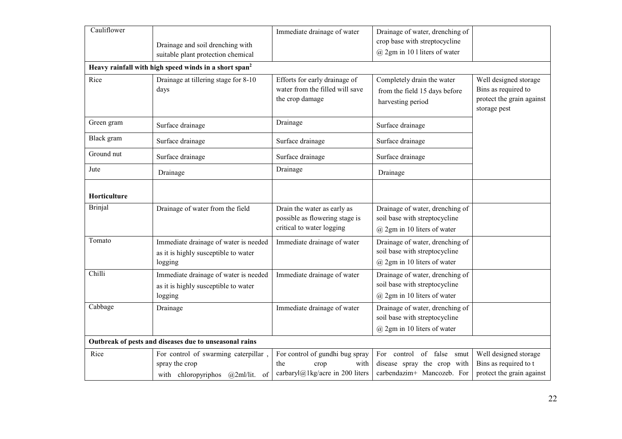| Cauliflower    | Drainage and soil drenching with<br>suitable plant protection chemical                     | Immediate drainage of water                                                                | Drainage of water, drenching of<br>crop base with streptocycline<br>$(a)$ 2gm in 101 liters of water |                                                                                           |
|----------------|--------------------------------------------------------------------------------------------|--------------------------------------------------------------------------------------------|------------------------------------------------------------------------------------------------------|-------------------------------------------------------------------------------------------|
|                | Heavy rainfall with high speed winds in a short span <sup>2</sup>                          |                                                                                            |                                                                                                      |                                                                                           |
| Rice           | Drainage at tillering stage for 8-10<br>days                                               | Efforts for early drainage of<br>water from the filled will save<br>the crop damage        | Completely drain the water<br>from the field 15 days before<br>harvesting period                     | Well designed storage<br>Bins as required to<br>protect the grain against<br>storage pest |
| Green gram     | Surface drainage                                                                           | Drainage                                                                                   | Surface drainage                                                                                     |                                                                                           |
| Black gram     | Surface drainage                                                                           | Surface drainage                                                                           | Surface drainage                                                                                     |                                                                                           |
| Ground nut     | Surface drainage                                                                           | Surface drainage                                                                           | Surface drainage                                                                                     |                                                                                           |
| Jute           | Drainage                                                                                   | Drainage                                                                                   | Drainage                                                                                             |                                                                                           |
| Horticulture   |                                                                                            |                                                                                            |                                                                                                      |                                                                                           |
| <b>Brinjal</b> | Drainage of water from the field                                                           | Drain the water as early as<br>possible as flowering stage is<br>critical to water logging | Drainage of water, drenching of<br>soil base with streptocycline<br>$(a)$ 2gm in 10 liters of water  |                                                                                           |
| Tomato         | Immediate drainage of water is needed<br>as it is highly susceptible to water<br>logging   | Immediate drainage of water                                                                | Drainage of water, drenching of<br>soil base with streptocycline<br>@ 2gm in 10 liters of water      |                                                                                           |
| Chilli         | Immediate drainage of water is needed<br>as it is highly susceptible to water<br>logging   | Immediate drainage of water                                                                | Drainage of water, drenching of<br>soil base with streptocycline<br>@ 2gm in 10 liters of water      |                                                                                           |
| Cabbage        | Drainage                                                                                   | Immediate drainage of water                                                                | Drainage of water, drenching of<br>soil base with streptocycline<br>$(a)$ 2gm in 10 liters of water  |                                                                                           |
|                | Outbreak of pests and diseases due to unseasonal rains                                     |                                                                                            |                                                                                                      |                                                                                           |
| Rice           | For control of swarming caterpillar,<br>spray the crop<br>with chloropyriphos @2ml/lit. of | For control of gundhi bug spray<br>the<br>with<br>crop<br>carbaryl@1kg/acre in 200 liters  | For control of false smut<br>disease spray the crop with<br>carbendazim+ Mancozeb. For               | Well designed storage<br>Bins as required to t<br>protect the grain against               |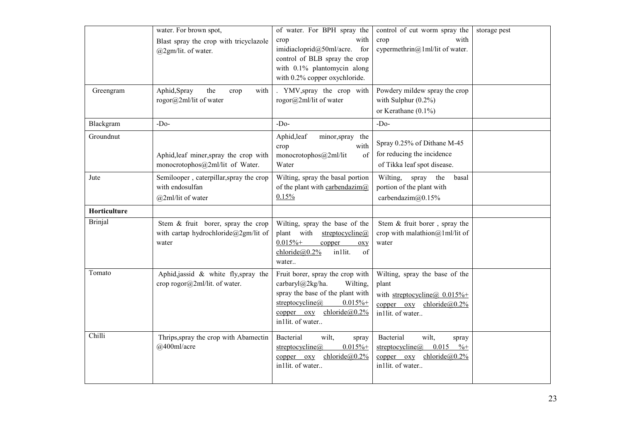| Greengram              | water. For brown spot,<br>Blast spray the crop with tricyclazole<br>$(a)$ 2gm/lit. of water.<br>Aphid, Spray<br>the<br>with<br>crop<br>rogor@2ml/lit of water | of water. For BPH spray the<br>with<br>crop<br>imidiacloprid@50ml/acre.<br>for<br>control of BLB spray the crop<br>with 0.1% plantomycin along<br>with 0.2% copper oxychloride.<br>. YMV, spray the crop with<br>rogor@2ml/lit of water | control of cut worm spray the<br>with<br>crop<br>cypermethrin@1ml/lit of water.<br>Powdery mildew spray the crop<br>with Sulphur $(0.2\%)$ | storage pest |
|------------------------|---------------------------------------------------------------------------------------------------------------------------------------------------------------|-----------------------------------------------------------------------------------------------------------------------------------------------------------------------------------------------------------------------------------------|--------------------------------------------------------------------------------------------------------------------------------------------|--------------|
|                        |                                                                                                                                                               | $-Do-$                                                                                                                                                                                                                                  | or Kerathane $(0.1\%)$                                                                                                                     |              |
| Blackgram<br>Groundnut | $-Do-$<br>Aphid, leaf miner, spray the crop with<br>monocrotophos@2ml/lit of Water.                                                                           | Aphid, leaf<br>minor, spray the<br>with<br>crop<br>monocrotophos@2ml/lit<br>of<br>Water                                                                                                                                                 | $-Do-$<br>Spray 0.25% of Dithane M-45<br>for reducing the incidence<br>of Tikka leaf spot disease.                                         |              |
| Jute                   | Semilooper, caterpillar, spray the crop<br>with endosulfan<br>@2ml/lit of water                                                                               | Wilting, spray the basal portion<br>of the plant with carbendazim $@$<br>0.15%                                                                                                                                                          | Wilting, spray the<br>basal<br>portion of the plant with<br>carbendazim@0.15%                                                              |              |
| Horticulture           |                                                                                                                                                               |                                                                                                                                                                                                                                         |                                                                                                                                            |              |
| <b>Brinjal</b>         | Stem & fruit borer, spray the crop<br>with cartap hydrochloride@2gm/lit of<br>water                                                                           | Wilting, spray the base of the<br>plant with<br>streptocycline@<br>$0.015% +$<br>copper<br>OXV<br>$chloride@0.2\%$<br>in1lit.<br>of<br>water                                                                                            | Stem & fruit borer, spray the<br>crop with malathion@1ml/lit of<br>water                                                                   |              |
| Tomato                 | Aphid,jassid & white fly,spray the<br>crop rogor@2ml/lit. of water.                                                                                           | Fruit borer, spray the crop with<br>carbaryl@2kg/ha.<br>Wilting,<br>spray the base of the plant with<br>streptocycline $(a)$<br>$0.015% +$<br>chloride@0.2%<br>$copper$ $oxy$<br>in1lit. of water                                       | Wilting, spray the base of the<br>plant<br>with streptocycline( $\bar{a}$ ) 0.015%+<br>copper oxy<br>chloride $@0.2\%$<br>in1lit. of water |              |
| Chilli                 | Thrips, spray the crop with Abamectin<br>@400ml/acre                                                                                                          | Bacterial<br>wilt,<br>spray<br>$0.015%$ +<br>streptocycline $(a)$<br>$chloride@0.2\%$<br>$copper$ $oxy$<br>in1lit. of water                                                                                                             | Bacterial<br>wilt,<br>spray<br>0.015<br>$\% +$<br>streptocycline $(a)$<br>$copper$ $oxy$<br>chloride $(a)0.2\%$<br>in1lit. of water        |              |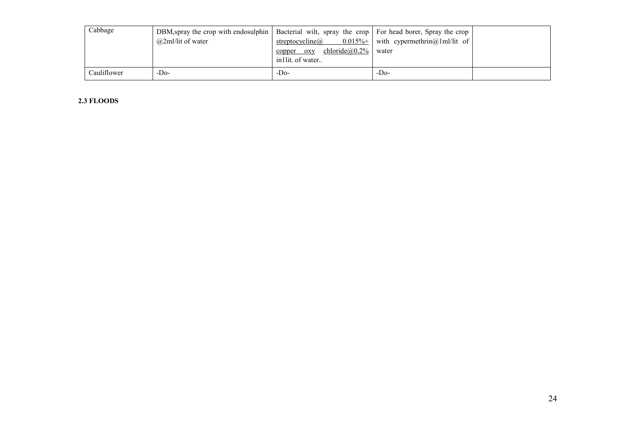| Cabbage     | DBM, spray the crop with endosulphin   Bacterial wilt, spray the crop   For head borer, Spray the crop<br>$\omega$ 2ml/lit of water | $0.015\%$ +<br>streptocycline $\omega$<br>chloride $@0.2\%$<br>copper oxy | with cypermethrin@1ml/lit of<br>water |  |
|-------------|-------------------------------------------------------------------------------------------------------------------------------------|---------------------------------------------------------------------------|---------------------------------------|--|
|             |                                                                                                                                     | in lit. of water                                                          |                                       |  |
| Cauliflower | -Do-                                                                                                                                | -Do-                                                                      | -D <sub>0</sub> -                     |  |

### 2.3 FLOODS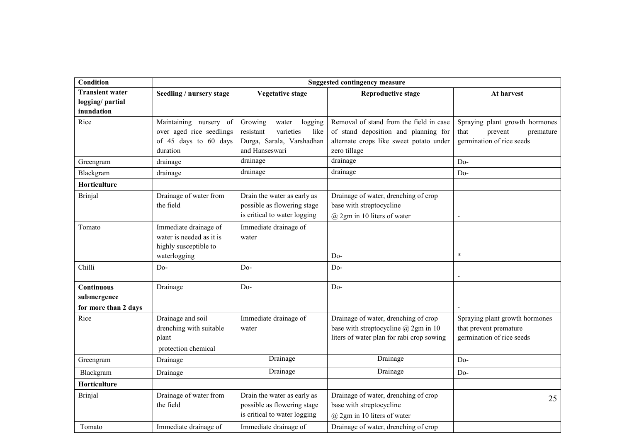| <b>Condition</b>                                        | <b>Suggested contingency measure</b>                                                       |                                                                                                              |                                                                                                                                            |                                                                                             |  |
|---------------------------------------------------------|--------------------------------------------------------------------------------------------|--------------------------------------------------------------------------------------------------------------|--------------------------------------------------------------------------------------------------------------------------------------------|---------------------------------------------------------------------------------------------|--|
| <b>Transient water</b><br>logging/partial<br>inundation | Seedling / nursery stage                                                                   | <b>Vegetative stage</b>                                                                                      | <b>Reproductive stage</b>                                                                                                                  | At harvest                                                                                  |  |
| Rice                                                    | Maintaining nursery of<br>over aged rice seedlings<br>of 45 days to 60 days<br>duration    | Growing<br>logging<br>water<br>varieties<br>resistant<br>like<br>Durga, Sarala, Varshadhan<br>and Hanseswari | Removal of stand from the field in case<br>of stand deposition and planning for<br>alternate crops like sweet potato under<br>zero tillage | Spraying plant growth hormones<br>that<br>prevent<br>premature<br>germination of rice seeds |  |
| Greengram                                               | drainage                                                                                   | drainage                                                                                                     | drainage                                                                                                                                   | D <sub>o</sub> -                                                                            |  |
| Blackgram                                               | drainage                                                                                   | drainage                                                                                                     | drainage                                                                                                                                   | $Do-$                                                                                       |  |
| Horticulture                                            |                                                                                            |                                                                                                              |                                                                                                                                            |                                                                                             |  |
| <b>Brinjal</b>                                          | Drainage of water from<br>the field                                                        | Drain the water as early as<br>possible as flowering stage<br>is critical to water logging                   | Drainage of water, drenching of crop<br>base with streptocycline<br>$(a)$ 2gm in 10 liters of water                                        |                                                                                             |  |
| Tomato                                                  | Immediate drainage of<br>water is needed as it is<br>highly susceptible to<br>waterlogging | Immediate drainage of<br>water                                                                               | Do-                                                                                                                                        | $\ast$                                                                                      |  |
| Chilli                                                  | $Do-$                                                                                      | D <sub>0</sub> -                                                                                             | Do-                                                                                                                                        |                                                                                             |  |
| Continuous<br>submergence<br>for more than 2 days       | Drainage                                                                                   | D <sub>0</sub> -                                                                                             | Do-                                                                                                                                        |                                                                                             |  |
| Rice                                                    | Drainage and soil<br>drenching with suitable<br>plant<br>protection chemical               | Immediate drainage of<br>water                                                                               | Drainage of water, drenching of crop<br>base with streptocycline $(a)$ 2gm in 10<br>liters of water plan for rabi crop sowing              | Spraying plant growth hormones<br>that prevent premature<br>germination of rice seeds       |  |
| Greengram                                               | Drainage                                                                                   | Drainage                                                                                                     | Drainage                                                                                                                                   | Do-                                                                                         |  |
| Blackgram                                               | Drainage                                                                                   | Drainage                                                                                                     | Drainage                                                                                                                                   | Do-                                                                                         |  |
| Horticulture                                            |                                                                                            |                                                                                                              |                                                                                                                                            |                                                                                             |  |
| <b>Brinjal</b>                                          | Drainage of water from<br>the field                                                        | Drain the water as early as<br>possible as flowering stage<br>is critical to water logging                   | Drainage of water, drenching of crop<br>base with streptocycline<br>$(a)$ 2gm in 10 liters of water                                        | 25                                                                                          |  |
| Tomato                                                  | Immediate drainage of                                                                      | Immediate drainage of                                                                                        | Drainage of water, drenching of crop                                                                                                       |                                                                                             |  |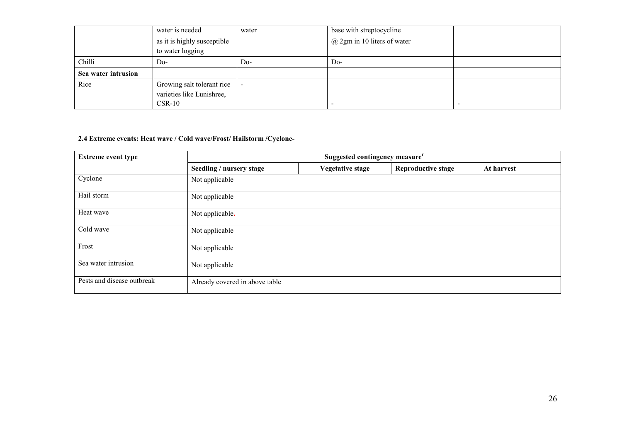|                     | water is needed                                 | water | base with streptocycline        |  |
|---------------------|-------------------------------------------------|-------|---------------------------------|--|
|                     | as it is highly susceptible<br>to water logging |       | $(a)$ 2gm in 10 liters of water |  |
|                     |                                                 |       |                                 |  |
| Chilli              | Do-                                             | Do-   | $Do-$                           |  |
| Sea water intrusion |                                                 |       |                                 |  |
| Rice                | Growing salt tolerant rice                      |       |                                 |  |
|                     | varieties like Lunishree,                       |       |                                 |  |
|                     | $CSR-10$                                        |       |                                 |  |

### 2.4 Extreme events: Heat wave / Cold wave/Frost/ Hailstorm /Cyclone-

| <b>Extreme event type</b>  | Suggested contingency measure <sup>r</sup> |                         |                           |            |  |
|----------------------------|--------------------------------------------|-------------------------|---------------------------|------------|--|
|                            | Seedling / nursery stage                   | <b>Vegetative stage</b> | <b>Reproductive stage</b> | At harvest |  |
| Cyclone                    | Not applicable                             |                         |                           |            |  |
| Hail storm                 | Not applicable                             |                         |                           |            |  |
| Heat wave                  | Not applicable.                            |                         |                           |            |  |
| Cold wave                  | Not applicable                             |                         |                           |            |  |
| Frost                      | Not applicable                             |                         |                           |            |  |
| Sea water intrusion        | Not applicable                             |                         |                           |            |  |
| Pests and disease outbreak | Already covered in above table             |                         |                           |            |  |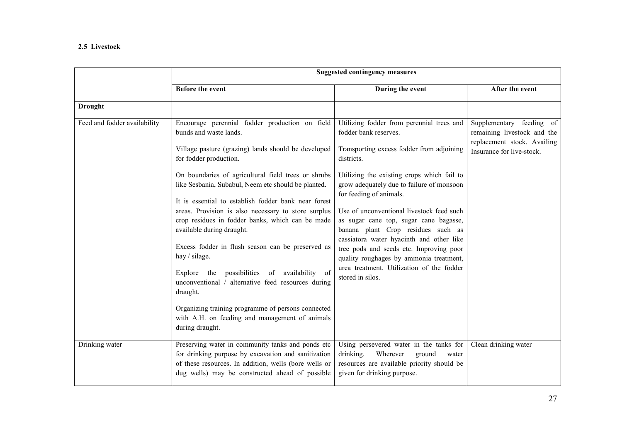### 2.5 Livestock

|                              |                                                                                                                                                                                                                                                                                                                                                                                                                                                                                                                                                                                                                                                                                                                             | <b>Suggested contingency measures</b>                                                                                                                                                                                                                                                                                                                                                                                                                                                                                                                                               |                                                                                                                     |
|------------------------------|-----------------------------------------------------------------------------------------------------------------------------------------------------------------------------------------------------------------------------------------------------------------------------------------------------------------------------------------------------------------------------------------------------------------------------------------------------------------------------------------------------------------------------------------------------------------------------------------------------------------------------------------------------------------------------------------------------------------------------|-------------------------------------------------------------------------------------------------------------------------------------------------------------------------------------------------------------------------------------------------------------------------------------------------------------------------------------------------------------------------------------------------------------------------------------------------------------------------------------------------------------------------------------------------------------------------------------|---------------------------------------------------------------------------------------------------------------------|
|                              | <b>Before the event</b>                                                                                                                                                                                                                                                                                                                                                                                                                                                                                                                                                                                                                                                                                                     | During the event                                                                                                                                                                                                                                                                                                                                                                                                                                                                                                                                                                    | After the event                                                                                                     |
| <b>Drought</b>               |                                                                                                                                                                                                                                                                                                                                                                                                                                                                                                                                                                                                                                                                                                                             |                                                                                                                                                                                                                                                                                                                                                                                                                                                                                                                                                                                     |                                                                                                                     |
| Feed and fodder availability | Encourage perennial fodder production on field<br>bunds and waste lands.<br>Village pasture (grazing) lands should be developed<br>for fodder production.<br>On boundaries of agricultural field trees or shrubs<br>like Sesbania, Subabul, Neem etc should be planted.<br>It is essential to establish fodder bank near forest<br>areas. Provision is also necessary to store surplus<br>crop residues in fodder banks, which can be made<br>available during draught.<br>Excess fodder in flush season can be preserved as<br>hay / silage.<br>possibilities of availability of<br>the<br>Explore<br>unconventional / alternative feed resources during<br>draught.<br>Organizing training programme of persons connected | Utilizing fodder from perennial trees and<br>fodder bank reserves.<br>Transporting excess fodder from adjoining<br>districts.<br>Utilizing the existing crops which fail to<br>grow adequately due to failure of monsoon<br>for feeding of animals.<br>Use of unconventional livestock feed such<br>as sugar cane top, sugar cane bagasse,<br>banana plant Crop residues such as<br>cassiatora water hyacinth and other like<br>tree pods and seeds etc. Improving poor<br>quality roughages by ammonia treatment,<br>urea treatment. Utilization of the fodder<br>stored in silos. | Supplementary feeding of<br>remaining livestock and the<br>replacement stock. Availing<br>Insurance for live-stock. |
|                              | with A.H. on feeding and management of animals<br>during draught.                                                                                                                                                                                                                                                                                                                                                                                                                                                                                                                                                                                                                                                           |                                                                                                                                                                                                                                                                                                                                                                                                                                                                                                                                                                                     |                                                                                                                     |
| Drinking water               | Preserving water in community tanks and ponds etc<br>for drinking purpose by excavation and sanitization<br>of these resources. In addition, wells (bore wells or<br>dug wells) may be constructed ahead of possible                                                                                                                                                                                                                                                                                                                                                                                                                                                                                                        | Using persevered water in the tanks for<br>Wherever<br>drinking.<br>ground<br>water<br>resources are available priority should be<br>given for drinking purpose.                                                                                                                                                                                                                                                                                                                                                                                                                    | Clean drinking water                                                                                                |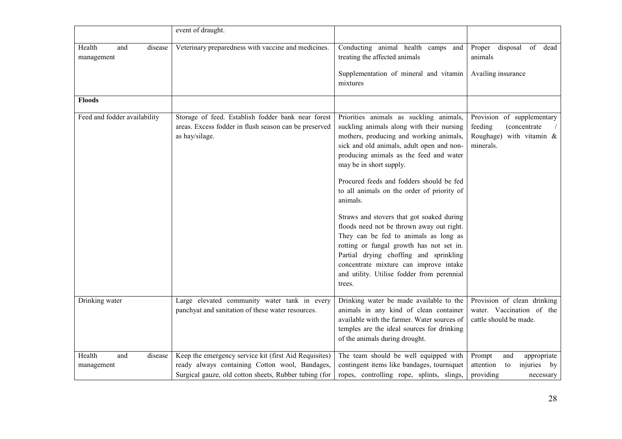|                                        | event of draught.                                                                                                                                                |                                                                                                                                                                                                                                                                                                                                                                                                                                                                                                                                                                                                                                                                                     |                                                                                                 |
|----------------------------------------|------------------------------------------------------------------------------------------------------------------------------------------------------------------|-------------------------------------------------------------------------------------------------------------------------------------------------------------------------------------------------------------------------------------------------------------------------------------------------------------------------------------------------------------------------------------------------------------------------------------------------------------------------------------------------------------------------------------------------------------------------------------------------------------------------------------------------------------------------------------|-------------------------------------------------------------------------------------------------|
| Health<br>disease<br>and<br>management | Veterinary preparedness with vaccine and medicines.                                                                                                              | Conducting animal health camps and<br>treating the affected animals<br>Supplementation of mineral and vitamin<br>mixtures                                                                                                                                                                                                                                                                                                                                                                                                                                                                                                                                                           | Proper disposal<br>of dead<br>animals<br>Availing insurance                                     |
| <b>Floods</b>                          |                                                                                                                                                                  |                                                                                                                                                                                                                                                                                                                                                                                                                                                                                                                                                                                                                                                                                     |                                                                                                 |
| Feed and fodder availability           | Storage of feed. Establish fodder bank near forest<br>areas. Excess fodder in flush season can be preserved<br>as hay/silage.                                    | Priorities animals as suckling animals,<br>suckling animals along with their nursing<br>mothers, producing and working animals,<br>sick and old animals, adult open and non-<br>producing animals as the feed and water<br>may be in short supply.<br>Procured feeds and fodders should be fed<br>to all animals on the order of priority of<br>animals.<br>Straws and stovers that got soaked during<br>floods need not be thrown away out right.<br>They can be fed to animals as long as<br>rotting or fungal growth has not set in.<br>Partial drying choffing and sprinkling<br>concentrate mixture can improve intake<br>and utility. Utilise fodder from perennial<br>trees. | Provision of supplementary<br>feeding<br>(concentrate)<br>Roughage) with vitamin &<br>minerals. |
| Drinking water                         | Large elevated community water tank in every<br>panchyat and sanitation of these water resources.                                                                | Drinking water be made available to the<br>animals in any kind of clean container<br>available with the farmer. Water sources of<br>temples are the ideal sources for drinking<br>of the animals during drought.                                                                                                                                                                                                                                                                                                                                                                                                                                                                    | Provision of clean drinking<br>water. Vaccination of the<br>cattle should be made.              |
| Health<br>and<br>disease<br>management | Keep the emergency service kit (first Aid Requisites)<br>ready always containing Cotton wool, Bandages,<br>Surgical gauze, old cotton sheets, Rubber tubing (for | The team should be well equipped with<br>contingent items like bandages, tourniquet<br>ropes, controlling rope, splints, slings,                                                                                                                                                                                                                                                                                                                                                                                                                                                                                                                                                    | Prompt<br>and<br>appropriate<br>injuries<br>attention<br>to<br>by<br>providing<br>necessary     |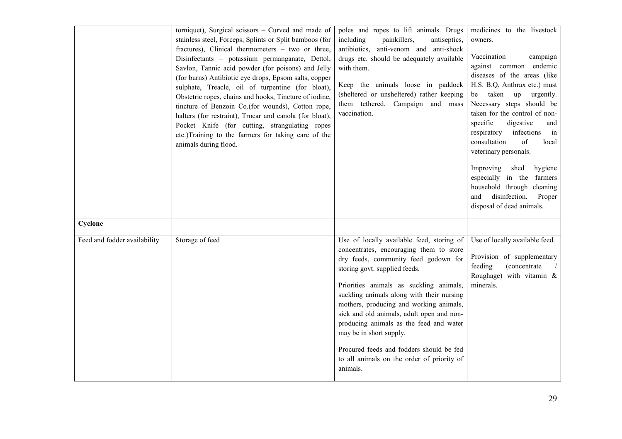|                                         | torniquet), Surgical scissors $-$ Curved and made of<br>stainless steel, Forceps, Splints or Split bamboos (for<br>fractures), Clinical thermometers - two or three,<br>Disinfectants - potassium permanganate, Dettol,<br>Savlon, Tannic acid powder (for poisons) and Jelly<br>(for burns) Antibiotic eye drops, Epsom salts, copper<br>sulphate, Treacle, oil of turpentine (for bloat),<br>Obstetric ropes, chains and hooks, Tincture of iodine,<br>tincture of Benzoin Co.(for wounds), Cotton rope,<br>halters (for restraint), Trocar and canola (for bloat),<br>Pocket Knife (for cutting, strangulating ropes<br>etc.)Training to the farmers for taking care of the<br>animals during flood. | poles and ropes to lift animals. Drugs<br>including<br>painkillers,<br>antiseptics,<br>antibiotics, anti-venom and anti-shock<br>drugs etc. should be adequately available<br>with them.<br>Keep the animals loose in paddock<br>(sheltered or unsheltered) rather keeping<br>them tethered. Campaign and mass<br>vaccination.                                                                                                                                                                                            | medicines to the livestock<br>owners.<br>Vaccination<br>campaign<br>against common endemic<br>diseases of the areas (like<br>H.S. B.Q, Anthrax etc.) must<br>taken up<br>urgently.<br>be<br>Necessary steps should be<br>taken for the control of non-<br>specific<br>digestive<br>and<br>respiratory<br>infections<br>in<br>of<br>consultation<br>local<br>veterinary personals.<br>Improving<br>shed<br>hygiene<br>especially in the<br>farmers<br>household through cleaning<br>disinfection.<br>and<br>Proper<br>disposal of dead animals. |
|-----------------------------------------|---------------------------------------------------------------------------------------------------------------------------------------------------------------------------------------------------------------------------------------------------------------------------------------------------------------------------------------------------------------------------------------------------------------------------------------------------------------------------------------------------------------------------------------------------------------------------------------------------------------------------------------------------------------------------------------------------------|---------------------------------------------------------------------------------------------------------------------------------------------------------------------------------------------------------------------------------------------------------------------------------------------------------------------------------------------------------------------------------------------------------------------------------------------------------------------------------------------------------------------------|------------------------------------------------------------------------------------------------------------------------------------------------------------------------------------------------------------------------------------------------------------------------------------------------------------------------------------------------------------------------------------------------------------------------------------------------------------------------------------------------------------------------------------------------|
| Cyclone<br>Feed and fodder availability | Storage of feed                                                                                                                                                                                                                                                                                                                                                                                                                                                                                                                                                                                                                                                                                         | Use of locally available feed, storing of<br>concentrates, encouraging them to store<br>dry feeds, community feed godown for<br>storing govt. supplied feeds.<br>Priorities animals as suckling animals,<br>suckling animals along with their nursing<br>mothers, producing and working animals,<br>sick and old animals, adult open and non-<br>producing animals as the feed and water<br>may be in short supply.<br>Procured feeds and fodders should be fed<br>to all animals on the order of priority of<br>animals. | Use of locally available feed.<br>Provision of supplementary<br>feeding<br>(concentrate<br>Roughage) with vitamin $\&$<br>minerals.                                                                                                                                                                                                                                                                                                                                                                                                            |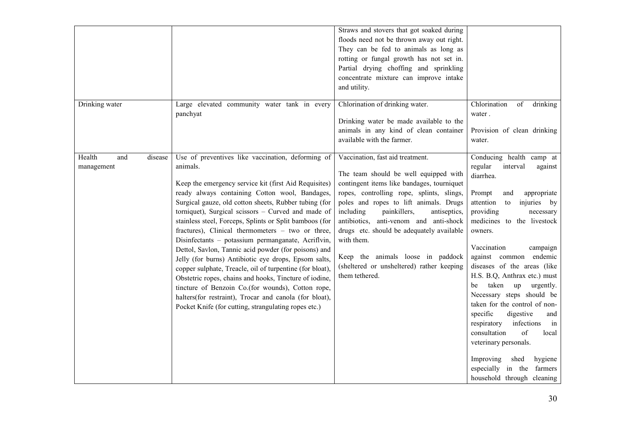| Drinking water                         | Large elevated community water tank in every<br>panchyat                                                                                                                                                                                                                                                                                                                                                                                                                                                                                                                                                                                                                                                                                                                                                                                                                   | Straws and stovers that got soaked during<br>floods need not be thrown away out right.<br>They can be fed to animals as long as<br>rotting or fungal growth has not set in.<br>Partial drying choffing and sprinkling<br>concentrate mixture can improve intake<br>and utility.<br>Chlorination of drinking water.<br>Drinking water be made available to the<br>animals in any kind of clean container                                                              | Chlorination<br>of<br>drinking<br>water.<br>Provision of clean drinking                                                                                                                                                                                                                                                                                                                                                                                                                                                                                                                                                                                      |
|----------------------------------------|----------------------------------------------------------------------------------------------------------------------------------------------------------------------------------------------------------------------------------------------------------------------------------------------------------------------------------------------------------------------------------------------------------------------------------------------------------------------------------------------------------------------------------------------------------------------------------------------------------------------------------------------------------------------------------------------------------------------------------------------------------------------------------------------------------------------------------------------------------------------------|----------------------------------------------------------------------------------------------------------------------------------------------------------------------------------------------------------------------------------------------------------------------------------------------------------------------------------------------------------------------------------------------------------------------------------------------------------------------|--------------------------------------------------------------------------------------------------------------------------------------------------------------------------------------------------------------------------------------------------------------------------------------------------------------------------------------------------------------------------------------------------------------------------------------------------------------------------------------------------------------------------------------------------------------------------------------------------------------------------------------------------------------|
|                                        |                                                                                                                                                                                                                                                                                                                                                                                                                                                                                                                                                                                                                                                                                                                                                                                                                                                                            | available with the farmer.                                                                                                                                                                                                                                                                                                                                                                                                                                           | water.                                                                                                                                                                                                                                                                                                                                                                                                                                                                                                                                                                                                                                                       |
| Health<br>and<br>disease<br>management | Use of preventives like vaccination, deforming of<br>animals.<br>Keep the emergency service kit (first Aid Requisites)<br>ready always containing Cotton wool, Bandages,<br>Surgical gauze, old cotton sheets, Rubber tubing (for<br>torniquet), Surgical scissors - Curved and made of<br>stainless steel, Forceps, Splints or Split bamboos (for<br>fractures), Clinical thermometers - two or three,<br>Disinfectants - potassium permanganate, Acriflvin,<br>Dettol, Savlon, Tannic acid powder (for poisons) and<br>Jelly (for burns) Antibiotic eye drops, Epsom salts,<br>copper sulphate, Treacle, oil of turpentine (for bloat),<br>Obstetric ropes, chains and hooks, Tincture of iodine,<br>tincture of Benzoin Co.(for wounds), Cotton rope,<br>halters(for restraint), Trocar and canola (for bloat),<br>Pocket Knife (for cutting, strangulating ropes etc.) | Vaccination, fast aid treatment.<br>The team should be well equipped with<br>contingent items like bandages, tourniquet<br>ropes, controlling rope, splints, slings,<br>poles and ropes to lift animals. Drugs<br>including<br>painkillers,<br>antiseptics,<br>antibiotics, anti-venom and anti-shock<br>drugs etc. should be adequately available<br>with them.<br>Keep the animals loose in paddock<br>(sheltered or unsheltered) rather keeping<br>them tethered. | Conducing health camp at<br>regular<br>interval<br>against<br>diarrhea.<br>Prompt<br>and<br>appropriate<br>attention<br>injuries by<br>to<br>providing<br>necessary<br>medicines to the livestock<br>owners.<br>Vaccination<br>campaign<br>endemic<br>against common<br>diseases of the areas (like<br>H.S. B.Q, Anthrax etc.) must<br>taken<br>up<br>urgently.<br>be<br>Necessary steps should be<br>taken for the control of non-<br>specific<br>digestive<br>and<br>infections<br>respiratory<br>in<br>consultation<br>of<br>local<br>veterinary personals.<br>Improving<br>shed<br>hygiene<br>especially in the<br>farmers<br>household through cleaning |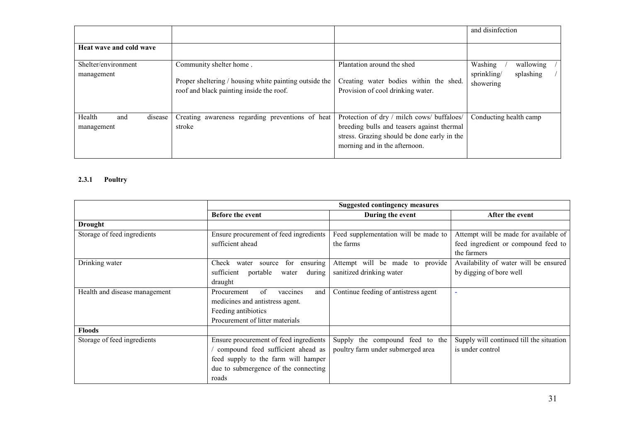|                          |                                                                                                    |                                                                             | and disinfection                      |
|--------------------------|----------------------------------------------------------------------------------------------------|-----------------------------------------------------------------------------|---------------------------------------|
| Heat wave and cold wave  |                                                                                                    |                                                                             |                                       |
| Shelter/environment      | Community shelter home.                                                                            | Plantation around the shed                                                  | Washing<br>wallowing                  |
| management               | Proper sheltering / housing white painting outside the<br>roof and black painting inside the roof. | Creating water bodies within the shed.<br>Provision of cool drinking water. | splashing<br>sprinkling/<br>showering |
| Health<br>and<br>disease | Creating awareness regarding preventions of heat                                                   | Protection of dry / milch cows/ buffaloes/                                  | Conducting health camp                |
| management               | stroke                                                                                             | breeding bulls and teasers against thermal                                  |                                       |
|                          |                                                                                                    | stress. Grazing should be done early in the                                 |                                       |
|                          |                                                                                                    | morning and in the afternoon.                                               |                                       |

### 2.3.1 Poultry

|                               | <b>Suggested contingency measures</b>       |                                      |                                          |
|-------------------------------|---------------------------------------------|--------------------------------------|------------------------------------------|
|                               | <b>Before the event</b>                     | During the event                     | After the event                          |
| <b>Drought</b>                |                                             |                                      |                                          |
| Storage of feed ingredients   | Ensure procurement of feed ingredients      | Feed supplementation will be made to | Attempt will be made for available of    |
|                               | sufficient ahead                            | the farms                            | feed ingredient or compound feed to      |
|                               |                                             |                                      | the farmers                              |
| Drinking water                | ensuring<br>for<br>Check<br>water<br>source | Attempt will be made to provide      | Availability of water will be ensured    |
|                               | sufficient<br>portable<br>during<br>water   | sanitized drinking water             | by digging of bore well                  |
|                               | draught                                     |                                      |                                          |
| Health and disease management | of<br>Procurement<br>vaccines<br>and        | Continue feeding of antistress agent | $\blacksquare$                           |
|                               | medicines and antistress agent.             |                                      |                                          |
|                               | Feeding antibiotics                         |                                      |                                          |
|                               | Procurement of litter materials             |                                      |                                          |
| <b>Floods</b>                 |                                             |                                      |                                          |
| Storage of feed ingredients   | Ensure procurement of feed ingredients      | Supply the compound feed to the      | Supply will continued till the situation |
|                               | compound feed sufficient ahead as           | poultry farm under submerged area    | is under control                         |
|                               | feed supply to the farm will hamper         |                                      |                                          |
|                               | due to submergence of the connecting        |                                      |                                          |
|                               | roads                                       |                                      |                                          |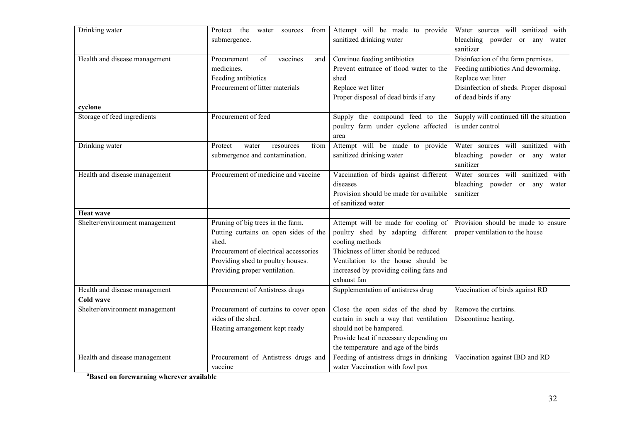| Drinking water                 | Protect the<br>from<br>water<br>sources | Attempt will be made to provide         | Water sources will sanitized with        |
|--------------------------------|-----------------------------------------|-----------------------------------------|------------------------------------------|
|                                | submergence.                            | sanitized drinking water                | bleaching powder or any water            |
|                                |                                         |                                         | sanitizer                                |
| Health and disease management  | Procurement<br>of<br>vaccines<br>and    | Continue feeding antibiotics            | Disinfection of the farm premises.       |
|                                | medicines.                              | Prevent entrance of flood water to the  | Feeding antibiotics And deworming.       |
|                                | Feeding antibiotics                     | shed                                    | Replace wet litter                       |
|                                | Procurement of litter materials         | Replace wet litter                      | Disinfection of sheds. Proper disposal   |
|                                |                                         | Proper disposal of dead birds if any    | of dead birds if any                     |
| cyclone                        |                                         |                                         |                                          |
| Storage of feed ingredients    | Procurement of feed                     | Supply the compound feed to the         | Supply will continued till the situation |
|                                |                                         | poultry farm under cyclone affected     | is under control                         |
|                                |                                         | area                                    |                                          |
| Drinking water                 | Protect<br>from<br>water<br>resources   | Attempt will be made to provide         | Water sources will sanitized with        |
|                                | submergence and contamination.          | sanitized drinking water                | bleaching powder or any water            |
|                                |                                         |                                         | sanitizer                                |
| Health and disease management  | Procurement of medicine and vaccine     | Vaccination of birds against different  | Water sources will sanitized with        |
|                                |                                         | diseases                                | bleaching powder or any water            |
|                                |                                         | Provision should be made for available  | sanitizer                                |
|                                |                                         | of sanitized water                      |                                          |
| <b>Heat wave</b>               |                                         |                                         |                                          |
| Shelter/environment management | Pruning of big trees in the farm.       | Attempt will be made for cooling of     | Provision should be made to ensure       |
|                                | Putting curtains on open sides of the   | poultry shed by adapting different      | proper ventilation to the house          |
|                                | shed.                                   | cooling methods                         |                                          |
|                                | Procurement of electrical accessories   | Thickness of litter should be reduced   |                                          |
|                                | Providing shed to poultry houses.       | Ventilation to the house should be      |                                          |
|                                | Providing proper ventilation.           | increased by providing ceiling fans and |                                          |
|                                |                                         | exhaust fan                             |                                          |
| Health and disease management  | Procurement of Antistress drugs         | Supplementation of antistress drug      | Vaccination of birds against RD          |
| <b>Cold wave</b>               |                                         |                                         |                                          |
| Shelter/environment management | Procurement of curtains to cover open   | Close the open sides of the shed by     | Remove the curtains.                     |
|                                | sides of the shed.                      | curtain in such a way that ventilation  | Discontinue heating.                     |
|                                | Heating arrangement kept ready          | should not be hampered.                 |                                          |
|                                |                                         | Provide heat if necessary depending on  |                                          |
|                                |                                         | the temperature and age of the birds    |                                          |
| Health and disease management  | Procurement of Antistress drugs and     | Feeding of antistress drugs in drinking | Vaccination against IBD and RD           |
|                                | vaccine                                 | water Vaccination with fowl pox         |                                          |

<sup>a</sup>Based on forewarning wherever available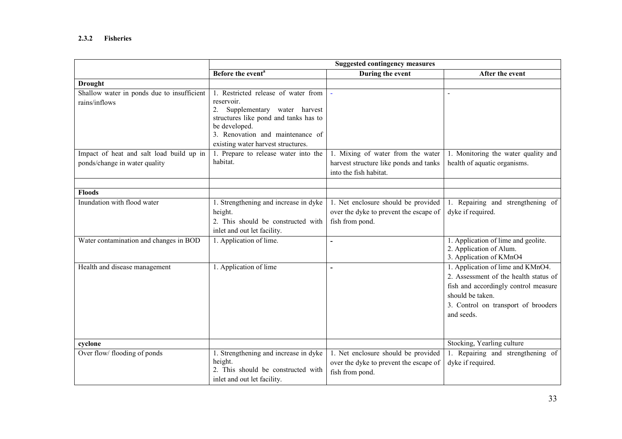## 2.3.2 Fisheries

|                                                                           |                                                                                                                                                                                                                            | <b>Suggested contingency measures</b>                                                                 |                                                                                                                                                                                             |
|---------------------------------------------------------------------------|----------------------------------------------------------------------------------------------------------------------------------------------------------------------------------------------------------------------------|-------------------------------------------------------------------------------------------------------|---------------------------------------------------------------------------------------------------------------------------------------------------------------------------------------------|
|                                                                           | Before the event <sup>a</sup>                                                                                                                                                                                              | During the event                                                                                      | After the event                                                                                                                                                                             |
| <b>Drought</b>                                                            |                                                                                                                                                                                                                            |                                                                                                       |                                                                                                                                                                                             |
| Shallow water in ponds due to insufficient<br>rains/inflows               | 1. Restricted release of water from<br>reservoir.<br>2.<br>Supplementary water harvest<br>structures like pond and tanks has to<br>be developed.<br>3. Renovation and maintenance of<br>existing water harvest structures. |                                                                                                       |                                                                                                                                                                                             |
| Impact of heat and salt load build up in<br>ponds/change in water quality | 1. Prepare to release water into the<br>habitat.                                                                                                                                                                           | 1. Mixing of water from the water<br>harvest structure like ponds and tanks<br>into the fish habitat. | Monitoring the water quality and<br>health of aquatic organisms.                                                                                                                            |
| Floods                                                                    |                                                                                                                                                                                                                            |                                                                                                       |                                                                                                                                                                                             |
| Inundation with flood water                                               | 1. Strengthening and increase in dyke<br>height.<br>2. This should be constructed with<br>inlet and out let facility.                                                                                                      | 1. Net enclosure should be provided<br>over the dyke to prevent the escape of<br>fish from pond.      | 1. Repairing and strengthening of<br>dyke if required.                                                                                                                                      |
| Water contamination and changes in BOD                                    | 1. Application of lime.                                                                                                                                                                                                    | ÷.                                                                                                    | 1. Application of lime and geolite.<br>2. Application of Alum.<br>3. Application of KMnO4                                                                                                   |
| Health and disease management                                             | 1. Application of lime                                                                                                                                                                                                     | ÷                                                                                                     | 1. Application of lime and KMnO4.<br>2. Assessment of the health status of<br>fish and accordingly control measure<br>should be taken.<br>3. Control on transport of brooders<br>and seeds. |
| cyclone                                                                   |                                                                                                                                                                                                                            |                                                                                                       | Stocking, Yearling culture                                                                                                                                                                  |
| Over flow/ flooding of ponds                                              | 1. Strengthening and increase in dyke<br>height.<br>2. This should be constructed with<br>inlet and out let facility.                                                                                                      | 1. Net enclosure should be provided<br>over the dyke to prevent the escape of<br>fish from pond.      | 1. Repairing and strengthening of<br>dyke if required.                                                                                                                                      |